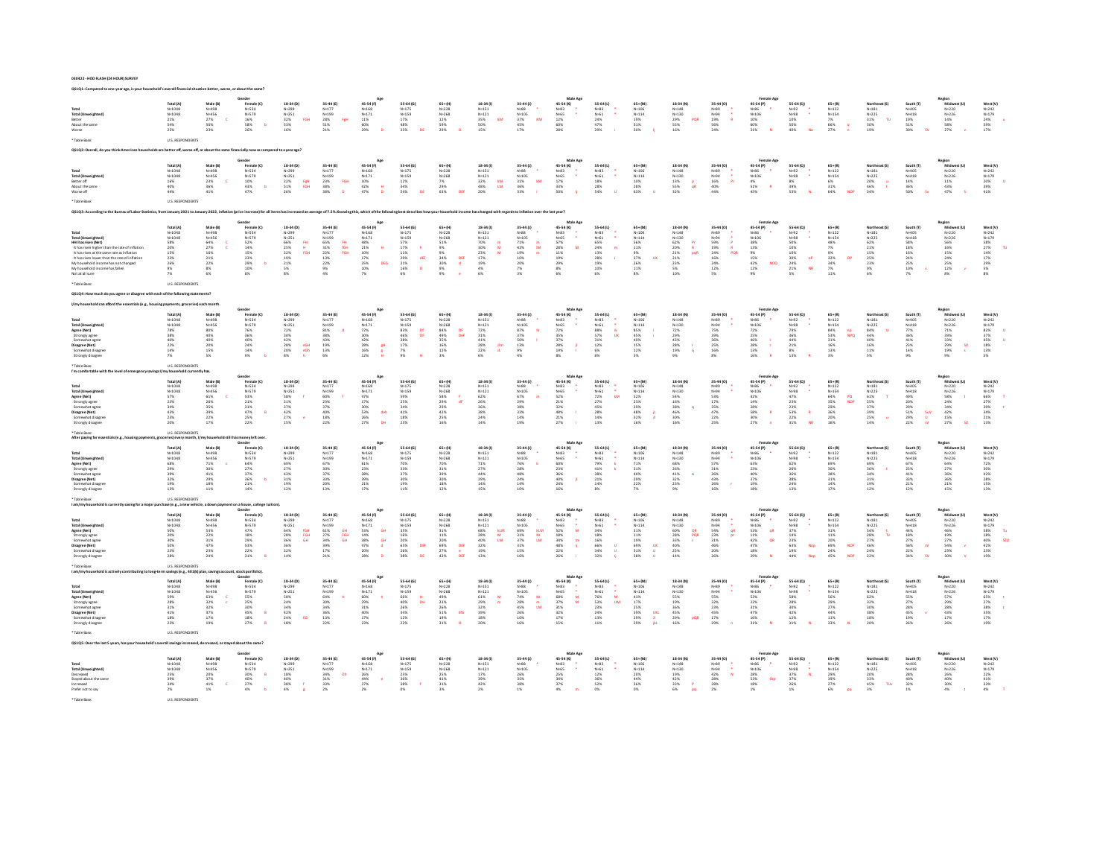| 030422 - HOD FLASH (24 HOUR) SURVEY |  |
|-------------------------------------|--|
|                                     |  |

| Total (Unit                                                                                                           | Total (A)<br>N=1048                                             | Male (8)<br>N=498<br>$\mathbf c$                                       | Female (C)<br>N=534<br>N=579<br>16%<br>58%                       | $18-34 (D)$<br>$N=251$<br>$N=251$<br>$32\%$<br>$53\%$<br>FGH                  | $\begin{array}{l} 35-44 \text{ (E)} \\ \text{N=177} \\ \text{N=199} \\ 28\% \\ 51\% \\ 21\% \end{array}$<br>FøH | 45-54 (F)<br>N=168<br>N=171<br>11%<br>60%<br>29%                          | 55-64 (G)<br>N=175                                                 | $\begin{array}{l} 65* (H) \\ \mathsf{N}*\mathsf{2}\,28 \\ \mathsf{N}*\mathsf{2}\,68 \\ 12\% \\ 59\% \end{array}$                         | $18-34(1)$<br>N=151<br>KM                                                                | 35-44 (J)<br>N=88<br>N=105<br>37%<br>км                                                | Male Age<br>45-54 (K)<br>N=83<br>N=65<br>12%<br>60%<br>28%          | 55-64 (L)<br>N=83<br>N=61<br>24%<br>29%<br>47%                             | 65+(M)<br>N=106<br>N=114<br>19%<br>51%<br>51%                           | $\begin{array}{l} 18\text{-}34\;(\mathsf{N})\\ \mathsf{N}{\text{-}148}\\ \mathsf{N}{\text{-}130}\\ \mathsf{N}{\text{-}130}\\ 29\%\\ 55\%\\ 16\% \end{array}$<br>PQR | 35-44 (O)<br>N=89<br>N=94<br>19%<br>$\mathbf{R}$            | <b>Female Age</b><br>45-54 (P)<br>N=86<br>N=106<br>10%<br>60%<br>31%                                                                                                    | 55-64 (Q)<br>N=92<br>N=98<br>10%<br>50%<br>40%                                          | 65+(R)<br>N=122<br>N=154<br>7%<br>66%<br>27%                                     | Northeast (S)<br>N=181<br>N=225<br>31%<br>50%<br>19%<br>$\mathbf{r}$ | South (T)<br>N=405<br>N=418<br>19%<br>51%<br>S0%                      | Region<br>Midwest (U)<br>N=220<br>N=226<br>14%                       | West (V)<br>N=242<br>N=179<br>24%<br>59%<br>17%                                          |
|-----------------------------------------------------------------------------------------------------------------------|-----------------------------------------------------------------|------------------------------------------------------------------------|------------------------------------------------------------------|-------------------------------------------------------------------------------|-----------------------------------------------------------------------------------------------------------------|---------------------------------------------------------------------------|--------------------------------------------------------------------|------------------------------------------------------------------------------------------------------------------------------------------|------------------------------------------------------------------------------------------|----------------------------------------------------------------------------------------|---------------------------------------------------------------------|----------------------------------------------------------------------------|-------------------------------------------------------------------------|---------------------------------------------------------------------------------------------------------------------------------------------------------------------|-------------------------------------------------------------|-------------------------------------------------------------------------------------------------------------------------------------------------------------------------|-----------------------------------------------------------------------------------------|----------------------------------------------------------------------------------|----------------------------------------------------------------------|-----------------------------------------------------------------------|----------------------------------------------------------------------|------------------------------------------------------------------------------------------|
| About the sam<br>Worse                                                                                                | N=1048<br>21%<br>54%<br>25%                                     | N=456<br>27%<br>50%<br>23%                                             | 26%                                                              |                                                                               |                                                                                                                 |                                                                           | $N=159$<br>17%<br>48%<br>35%<br>DE                                 |                                                                                                                                          | N=131<br>N=121<br>35%<br>50%<br>15%                                                      | $\frac{45\%}{17\%}$                                                                    |                                                                     |                                                                            |                                                                         |                                                                                                                                                                     | $\frac{56\%}{24\%}$                                         |                                                                                                                                                                         |                                                                                         |                                                                                  |                                                                      |                                                                       | 58%<br>27%                                                           |                                                                                          |
| Table Rase                                                                                                            | U.S. RESPONDENTS                                                |                                                                        |                                                                  |                                                                               |                                                                                                                 |                                                                           |                                                                    |                                                                                                                                          |                                                                                          |                                                                                        |                                                                     |                                                                            |                                                                         |                                                                                                                                                                     |                                                             |                                                                                                                                                                         |                                                                                         |                                                                                  |                                                                      |                                                                       |                                                                      |                                                                                          |
|                                                                                                                       |                                                                 | se off, or about the same f                                            | inancially now as compared to a year ago?                        |                                                                               |                                                                                                                 |                                                                           |                                                                    |                                                                                                                                          |                                                                                          |                                                                                        |                                                                     |                                                                            |                                                                         |                                                                                                                                                                     |                                                             |                                                                                                                                                                         |                                                                                         |                                                                                  |                                                                      |                                                                       |                                                                      |                                                                                          |
|                                                                                                                       |                                                                 |                                                                        | Gender                                                           |                                                                               |                                                                                                                 | Age                                                                       |                                                                    |                                                                                                                                          |                                                                                          |                                                                                        | Male Age                                                            |                                                                            |                                                                         |                                                                                                                                                                     |                                                             | <b>Female Age</b>                                                                                                                                                       |                                                                                         |                                                                                  |                                                                      |                                                                       |                                                                      |                                                                                          |
| Total                                                                                                                 | Total (A)<br>N=1048                                             | Male (B)<br>N=498                                                      | Female (C)<br>N=534                                              | 18-34 (D)                                                                     | 35-44 (E)                                                                                                       | 45-54 (F)                                                                 | 55-64 (G)<br>$N = 175$                                             | $65 + (H)$<br>N+228                                                                                                                      | 18-34 (I)<br>$N = 151$                                                                   | $35-44 (1)$<br>$N+88$<br>$N+105$<br>$31%$<br>$36%$<br>$33%$                            | 45-54 (K)                                                           | 55-64 (L)                                                                  | $65+(M)$<br>N=106                                                       | 18-34 (N)                                                                                                                                                           | 35-44 (O)                                                   | 45-54 (P)<br>N=86<br>N=106<br>A%<br>51%                                                                                                                                 | 55-64 (Q)                                                                               | 65+(R)<br>N=122<br>N=154<br>6%<br>31%<br>64%                                     | Northeast (S)<br>N=181<br>N=225<br>20% u<br>46% t<br>34%             | South (T)<br>N=405<br>N=418                                           | Region<br>Midwest (U)<br>N=220                                       | West (V)<br>N=242<br>N=179<br>20%<br>39%<br>41%                                          |
| <b>Total (Unweight</b><br>Better off                                                                                  | N=1048<br>16%<br>40%                                            | $N=456$<br>$23%$                                                       | $N=579$<br>$10\%$<br>$43\%$                                      | $N+299$<br>$N+251$<br>$22\%$<br>$51\%$<br>$\frac{\mathsf{FgH}}{\mathsf{EGH}}$ | N=177<br>N=199<br>23%<br>38%<br>38%<br>FGH                                                                      | $N=168$<br>$N=171$<br>$10%$<br>$42%$<br>$47%$                             | N=1.59<br>N=159<br>12%<br>34%<br>54%                               | $N + 268$                                                                                                                                | N=121<br>N=121<br>32%<br>48%<br>20%<br>$\frac{\text{kM}}{\text{LM}}$                     | øм                                                                                     | N=83<br>N=65<br>17%<br>33%<br>50%<br>$\sim$                         | N=83<br>N=61<br>18%<br>28%<br>54%                                          | N=100<br>N=114<br>10%<br>28%<br>63%                                     | $N=148$<br>$N=130$<br>$13%$<br>$55%$<br>$32%$<br>$\frac{P}{qR}$                                                                                                     | N=89<br>N=94<br>16%<br>40%<br>$\frac{1}{2}$                 |                                                                                                                                                                         | N=92<br>N=98<br>8%<br>8%<br>39%<br>53%<br>$\sim$                                        |                                                                                  | $\frac{u}{t}$                                                        |                                                                       | $N = 226$<br>11%                                                     |                                                                                          |
| About the same<br>Worse off                                                                                           | 44%                                                             | 36%<br>41%                                                             | 47%                                                              | 26%                                                                           |                                                                                                                 |                                                                           |                                                                    | 7%<br>29%<br>63%<br>DE                                                                                                                   |                                                                                          |                                                                                        |                                                                     |                                                                            |                                                                         |                                                                                                                                                                     | 44%                                                         | 45%                                                                                                                                                                     |                                                                                         | NO <sub>2</sub>                                                                  |                                                                      | 14%<br>36%<br>50%                                                     | 43%<br>47%                                                           |                                                                                          |
| Table Rase                                                                                                            | <b>U.S. RESPONDENTS</b>                                         |                                                                        |                                                                  |                                                                               |                                                                                                                 |                                                                           |                                                                    |                                                                                                                                          |                                                                                          |                                                                                        |                                                                     |                                                                            |                                                                         |                                                                                                                                                                     |                                                             |                                                                                                                                                                         |                                                                                         |                                                                                  |                                                                      |                                                                       |                                                                      |                                                                                          |
|                                                                                                                       |                                                                 |                                                                        | uary 2022, inflation (price increase) for all its                |                                                                               | age of 7.5%.Kno                                                                                                 | dnathic which of the fr                                                   |                                                                    |                                                                                                                                          |                                                                                          | rdsto inflation                                                                        |                                                                     |                                                                            |                                                                         |                                                                                                                                                                     |                                                             |                                                                                                                                                                         |                                                                                         |                                                                                  |                                                                      |                                                                       |                                                                      |                                                                                          |
|                                                                                                                       |                                                                 |                                                                        |                                                                  |                                                                               |                                                                                                                 |                                                                           |                                                                    |                                                                                                                                          |                                                                                          |                                                                                        | Male Age                                                            |                                                                            |                                                                         |                                                                                                                                                                     |                                                             | Female An                                                                                                                                                               |                                                                                         |                                                                                  |                                                                      |                                                                       |                                                                      |                                                                                          |
| Total                                                                                                                 | <b>Total (A</b><br>$N = 1048$                                   | Male (B)<br>N=498                                                      | Gender<br>Female (C)<br>N=534                                    | 18-34 (D)                                                                     | 35-44 (E)                                                                                                       | 45-54 (F)                                                                 | 55-64 (G)                                                          | $65+ (H)$<br>N+228                                                                                                                       | 18-34 (i)<br>N=151                                                                       | 35-44 (J)<br>N=88<br>N=105                                                             | 45-54 (K)                                                           | 55-64 (L)<br>N=83<br>N=61<br>S5%<br>24%<br>24%<br>13%<br>28%<br>10%<br>10% | $65*(M)$<br>$N = 106$                                                   | 18-34 (N)                                                                                                                                                           | 35-44 (0)                                                   | 45-54 (P)                                                                                                                                                               | 55-64 (Q)                                                                               | 65+(R)<br>N=122<br>N=154                                                         | Northeast (S)<br>N=181                                               |                                                                       | Region<br>Midwest (U)<br>N=220                                       | West (V) $_{\mathrm{N+242}}$                                                             |
| <b>Total (Unweighted)</b>                                                                                             | N=1048                                                          | N=456                                                                  | N=579                                                            | N=299<br>N=251                                                                | N=177<br>N=199                                                                                                  | 45-54 P<br>N=168<br>N=171<br>48%<br>21%<br>25%<br>10%<br>35%<br>10%       | N=175<br>N=159                                                     | $N + 268$                                                                                                                                | $N = 121$                                                                                |                                                                                        | N=83<br>N=65<br>57%<br>28%<br>11%<br>19%<br>29%<br>8%               |                                                                            | $N = 114$                                                               | $N=148$<br>$N=130$                                                                                                                                                  | N=89<br>N=94                                                | N=86<br>N=106                                                                                                                                                           | N=92<br>N=98<br>SO%<br>SO%<br>10%<br>30%<br>24%<br>24%                                  |                                                                                  | $N = 225$                                                            | South (T)<br>N=405<br>N=418                                           | $N = 226$                                                            | N+179                                                                                    |
| HHI has risen (Net)<br>It has risen higher than the rate of inflation                                                 | 58%<br>20%<br>15%<br>23%                                        | 64%<br>27%<br>16%<br>21%                                               | $^{52\%}_{14\%}$                                                 | 66%<br>25%<br>22%<br>19%<br>쁚                                                 | $\begin{array}{r} 65\% \\ 31\% \\ 22\% \\ 13\% \end{array}$<br>FH<br>fGH<br>FGH                                 |                                                                           |                                                                    |                                                                                                                                          | $\frac{m}{M}$                                                                            | $\frac{\text{m}}{\text{Im}}$                                                           |                                                                     |                                                                            |                                                                         | $\frac{P}{R}$                                                                                                                                                       | $\begin{array}{r} 59\% \\ 19\% \\ 24\% \\ 16\% \end{array}$ | $\begin{array}{l} 38\% \\ 13\% \\ 9\% \\ 15\% \end{array}$                                                                                                              |                                                                                         |                                                                                  |                                                                      | $\frac{58\%}{18\%}$                                                   | $\begin{array}{r} 56\% \\ 16\% \\ 15\% \\ 24\% \end{array}$          |                                                                                          |
| It has risen at the same rate as inflation<br>It has risen lower than the rate of inflation                           |                                                                 |                                                                        | $\frac{15\%}{23\%}$                                              | FGH                                                                           |                                                                                                                 |                                                                           | dE                                                                 |                                                                                                                                          | M                                                                                        |                                                                                        |                                                                     |                                                                            |                                                                         | pqR                                                                                                                                                                 | PQR                                                         |                                                                                                                                                                         | oP                                                                                      |                                                                                  |                                                                      | $\frac{16\%}{24\%}$                                                   |                                                                      |                                                                                          |
| My household income has not changed<br>My household income has fallen                                                 | 26%<br>9%                                                       | 22%<br>8%                                                              | $^{29\%}_{10\%}$                                                 | $\frac{21\%}{5\%}$                                                            | $^{22\%}_{9\%}$                                                                                                 | DEG                                                                       | 57%<br>17%<br>11%<br>29%<br>21%<br>16%<br>$\mathbf{p}$             | $\begin{array}{r} 51\% \\ 9\% \\ 9\% \\ 34\% \\ 30\% \\ 9\% \\ 9\% \end{array}$<br>$\begin{array}{c} \text{DEF} \\ \text{d} \end{array}$ | 70%<br>30%<br>23%<br>27%<br>17%<br>4%<br>4%                                              | 71%<br>42%<br>42%<br>19%<br>20%<br>20%                                                 |                                                                     |                                                                            | 56%<br>11%<br>9% 37%<br>26%<br>11%                                      | $\begin{array}{r} 62\% \\ 20\% \\ 21\% \\ 21\% \\ 23\% \\ 5\% \end{array}$                                                                                          | $_{12\%}^{24\%}$                                            | $\substack{42\% \\ 12\%}$<br>NOQ                                                                                                                                        | <b>NR</b>                                                                               | 48%<br>7%<br>9%<br>9%<br>32%<br>34%<br>7%                                        | 62%<br>21%<br>15%<br>25%<br>23%                                      | 25%<br>10%                                                            | $^{25\%}_{12\%}$                                                     | $\begin{array}{r} 1.788 \\ 2.7\% \\ 2.7\% \\ 1.4\% \\ 1.7\% \\ 2.9\% \\ 5\% \end{array}$ |
|                                                                                                                       | 7%                                                              | 6%                                                                     | 8%                                                               | 8%                                                                            | $4\%$                                                                                                           | 7%                                                                        | $6\%$                                                              |                                                                                                                                          |                                                                                          | 3%                                                                                     | $6\%$                                                               | 6%                                                                         | 8%                                                                      | 10%                                                                                                                                                                 | 5%                                                          | 9%                                                                                                                                                                      | 5%                                                                                      | 11%                                                                              | 6%                                                                   | $7\%$                                                                 | $8\%$                                                                | 8%                                                                                       |
|                                                                                                                       | U.S. RESPONDENTS                                                |                                                                        |                                                                  |                                                                               |                                                                                                                 |                                                                           |                                                                    |                                                                                                                                          |                                                                                          |                                                                                        |                                                                     |                                                                            |                                                                         |                                                                                                                                                                     |                                                             |                                                                                                                                                                         |                                                                                         |                                                                                  |                                                                      |                                                                       |                                                                      |                                                                                          |
| agree or disagree with each of the following stat                                                                     |                                                                 |                                                                        |                                                                  |                                                                               |                                                                                                                 |                                                                           |                                                                    |                                                                                                                                          |                                                                                          |                                                                                        |                                                                     |                                                                            |                                                                         |                                                                                                                                                                     |                                                             |                                                                                                                                                                         |                                                                                         |                                                                                  |                                                                      |                                                                       |                                                                      |                                                                                          |
|                                                                                                                       |                                                                 |                                                                        |                                                                  |                                                                               |                                                                                                                 |                                                                           |                                                                    |                                                                                                                                          |                                                                                          |                                                                                        |                                                                     |                                                                            |                                                                         |                                                                                                                                                                     |                                                             |                                                                                                                                                                         |                                                                                         |                                                                                  |                                                                      |                                                                       |                                                                      |                                                                                          |
|                                                                                                                       | Total (A)                                                       | Male (B                                                                | Gender<br>Female (C)                                             | 18-34 (D)                                                                     | 35-44 (E)                                                                                                       | 45-54 (F)                                                                 | 55-64 (G)                                                          | 65+(H)                                                                                                                                   | 18-34 (I)                                                                                | 35-44 (J)                                                                              | Male Age<br>45-54 (K)                                               | 55-64 (L)                                                                  | 65+(M)                                                                  | 18-34 (N)                                                                                                                                                           | 35-44 (O)                                                   | <b>Female Age</b><br>45-54 (P)                                                                                                                                          | 55-64 (Q)                                                                               |                                                                                  |                                                                      |                                                                       | Region<br>Midwest (U)<br>N=220                                       | West (V)<br>$N=242$                                                                      |
| Total<br><b>Total (Unweigh</b>                                                                                        | N=1048<br>N=1048                                                | N-498<br>N=456                                                         |                                                                  | N+299<br>$N + 251$                                                            | $N = 177$                                                                                                       | N+168                                                                     | $N = 175$                                                          | $N = 228$                                                                                                                                | $N = 151$                                                                                |                                                                                        |                                                                     | N+83                                                                       | $N = 106$                                                               | N=148                                                                                                                                                               | N=89<br>N=94                                                |                                                                                                                                                                         |                                                                                         |                                                                                  | Northeast (S $_{\rm N=181}$                                          | South (T)<br>N=405                                                    |                                                                      |                                                                                          |
| Agree (Net)<br>Strongly agree                                                                                         |                                                                 |                                                                        |                                                                  |                                                                               |                                                                                                                 |                                                                           | $\frac{\mathsf{D}^{\mathsf{f}}}{\mathsf{D}^{\mathsf{F}}}$          | DF<br>Def                                                                                                                                | $N=121$<br>$N=121$<br>$72%$<br>$31%$                                                     |                                                                                        |                                                                     | $\frac{ik}{18}$                                                            |                                                                         |                                                                                                                                                                     |                                                             |                                                                                                                                                                         |                                                                                         | np<br>NPQ                                                                        |                                                                      | N=418<br>77%<br>36%                                                   |                                                                      |                                                                                          |
| Somewhat agree                                                                                                        |                                                                 |                                                                        |                                                                  |                                                                               |                                                                                                                 |                                                                           |                                                                    |                                                                                                                                          |                                                                                          |                                                                                        |                                                                     |                                                                            |                                                                         |                                                                                                                                                                     | 75%<br>39%<br>36%<br>25%                                    |                                                                                                                                                                         | N=92<br>N=98<br>79%<br>36%<br>44%<br>21%                                                |                                                                                  |                                                                      | $\frac{41\%}{23\%}$                                                   |                                                                      | - u                                                                                      |
| Disagree (Net)<br>Somewhat disagre                                                                                    | 78%<br>38%<br>40%<br>22%<br>14%<br>7%                           | 80%<br>40%<br>40%<br>40%<br>20%<br>15%<br>5%                           | N=534<br>N=579<br>76%<br>36%<br>40%<br>24%<br>14%                | 72%<br>30%<br>42%<br>42%<br>28%<br>20%<br>eGH<br>eGh<br>h                     | N=1//<br>N=199<br>81%<br>38%<br>43%<br>43%<br>13%<br>13%                                                        | N=100<br>N=171<br>72%<br>30%<br>42%<br>42%<br>16%<br>16%<br><b>AH</b>     | N=1/3<br>N=159<br>83%<br>46%<br>46%<br>38%<br>17%<br>7%            | N=226<br>N=268<br>84%<br>49%<br>49%<br>35%<br>12%<br>12%                                                                                 | $\begin{array}{r} 41\% \\ 28\% \\ 22\% \\ 6\% \end{array}$<br><b>Jim</b><br>$\mathbf{R}$ | N=88<br>N=105<br>87%<br>37%<br>50%<br>13%<br>9%<br>4%                                  | N=83<br>N=65<br>72% % % %<br>35% 37% % 19%                          | N=61<br>88%<br>57%<br>51%<br>31%<br>12%<br>6%<br>6%                        | N=106<br>N=114<br>85%<br>45%<br>40%<br>15%<br>12%<br>12%                | N=14a<br>N=130<br>72%<br>29%<br>43%<br>43%<br>19%<br>19%                                                                                                            | $\frac{16\%}{8\%}$                                          | 43-241<br>N=86<br>N=106<br>72%<br>25%<br>46%<br>13%<br>16%                                                                                                              | $\frac{8\%}{13\%}$                                                                      | 65+(R)<br>N=122<br>N=154<br>84%<br>S3%<br>35%<br>16%<br>18%<br>18%               | N=181<br>N=225<br>84%<br>44%<br>40%<br>16%<br>11%<br>11%             | $\frac{14\%}{9\%}$                                                    | N=226<br>N=226<br>71%<br>39%<br>33%<br>29%<br>19%<br><b>SV</b>       | N=242<br>N=179<br>82%<br>37%<br>45%<br>48%<br>18%<br>13%                                 |
| Strongly disagree                                                                                                     |                                                                 |                                                                        |                                                                  |                                                                               |                                                                                                                 |                                                                           |                                                                    |                                                                                                                                          |                                                                                          |                                                                                        |                                                                     |                                                                            |                                                                         |                                                                                                                                                                     |                                                             |                                                                                                                                                                         |                                                                                         |                                                                                  |                                                                      |                                                                       |                                                                      |                                                                                          |
|                                                                                                                       | U.S. RESPONDENTS                                                |                                                                        |                                                                  |                                                                               |                                                                                                                 |                                                                           |                                                                    |                                                                                                                                          |                                                                                          |                                                                                        |                                                                     |                                                                            |                                                                         |                                                                                                                                                                     |                                                             |                                                                                                                                                                         |                                                                                         |                                                                                  |                                                                      |                                                                       |                                                                      |                                                                                          |
|                                                                                                                       | Total (A                                                        |                                                                        | Gender                                                           | 18-34 (D)                                                                     | 35-44 (E)                                                                                                       | Age<br>45-54 (F)                                                          | 55-64 (G)                                                          | $65 + (H)$                                                                                                                               | 18-34 (i)                                                                                | 35-44 (J)                                                                              | Male Age<br>45-54 (K)                                               | 55-64 (L)                                                                  | $65 + (M)$                                                              | 18-34 (N)                                                                                                                                                           | 35-44 (0)                                                   | <b>Female Age</b>                                                                                                                                                       |                                                                                         |                                                                                  | Northeast (S                                                         |                                                                       | Region<br>Midwest (U)<br>N=220<br>N=226<br>S8% t                     |                                                                                          |
|                                                                                                                       |                                                                 |                                                                        |                                                                  |                                                                               | $N = 177$                                                                                                       |                                                                           |                                                                    |                                                                                                                                          | N=151<br>N=121                                                                           | $N=88$<br>$N=105$<br>67%                                                               |                                                                     |                                                                            |                                                                         | N=148                                                                                                                                                               | N=89<br>N=94<br>53%                                         |                                                                                                                                                                         |                                                                                         |                                                                                  |                                                                      | South (T)<br>N=405<br>N=418                                           |                                                                      |                                                                                          |
|                                                                                                                       |                                                                 |                                                                        |                                                                  | N=299<br>N=251<br>58%                                                         |                                                                                                                 |                                                                           |                                                                    |                                                                                                                                          | 62%                                                                                      |                                                                                        |                                                                     | kM                                                                         |                                                                         | $N+130$<br>54%                                                                                                                                                      |                                                             |                                                                                                                                                                         |                                                                                         | PQ<br>NOP                                                                        |                                                                      |                                                                       |                                                                      |                                                                                          |
| Total<br>Total (Unweighted)<br>Agree (Net)<br>Strongly agree<br>Somewhat agree                                        |                                                                 |                                                                        | mour<br>Female (C)<br>N=534<br>N=579<br>S3%<br>21%<br>21%        | $\frac{21\%}{37\%}$                                                           | N=1/<br>N=199<br>60%<br>23%<br>37%                                                                              |                                                                           |                                                                    | N=228<br>N=268<br>S8%<br>29%<br>29%<br>42%                                                                                               | 26%<br>36%                                                                               | 29%<br>38%                                                                             | $N=83$<br>$N=65$<br>$52%$<br>$21%$<br>$32%$                         | N=83<br>N=61<br>72%<br>27%<br>45%                                          |                                                                         |                                                                                                                                                                     | $\frac{17\%}{35\%}$                                         |                                                                                                                                                                         |                                                                                         |                                                                                  |                                                                      |                                                                       |                                                                      |                                                                                          |
| Disagree (Net)<br>Somewhat disagre                                                                                    | 10tal (A<br>N=1048<br>N=1048<br>57%<br>23%<br>34%<br>43%<br>23% | Male (B)<br>N=498<br>N=456<br>N=456<br>61%<br>26%<br>35%<br>22%<br>17% | $47\%$<br>$^{25\%}_{22\%}$                                       | $42\%$<br>$\frac{27\%}{15\%}$<br>$\bullet$                                    | $\begin{array}{l} 40\% \\ 18\% \end{array}$                                                                     | ******<br>N=168<br>N=171<br>47%<br>17%<br>30%<br>S3%<br>26%<br>27%<br>deh | 33475<br>N=175<br>S9%<br>S9%<br>25%<br>41%<br>41%                  | 25%<br>16%                                                                                                                               | $38\%$<br>$_{14\%}^{24\%}$                                                               | $33\%$<br>14%                                                                          | $\begin{array}{r} 48\% \\ 21\% \\ 27\% \end{array}$<br>$\mathbf{u}$ | 28%<br>14%<br>13%                                                          | 83 \ www<br>N=106<br>N=114<br>52 %<br>29 %<br>48 %<br>48 %<br>16 %      | 16%<br>38%<br>46%<br>46%<br>30%<br>16%                                                                                                                              | $47\%$<br>22%                                               | -<br>45-54 (P)<br>N=86<br>N=106<br>42%<br>14%<br>28%<br>S8%<br>30%<br>27%<br>$\mathbf{R}$                                                                               | $55 - 64 (Q)$<br>$N = 92$<br>$N = 98$<br>$47%$<br>$23%$<br>$23%$<br>$22%$<br>$31%$<br>R | 65+(R)<br>N=122<br>N=154<br>S4%<br>S5%<br>29%<br>36%<br>20%<br>16%               | Nortnez<br>N=181<br>N=225<br>61%<br>57%<br>39%<br>39%<br>25%         | 49%<br>49%<br>20%<br>29%<br>51%<br>51%<br>29%<br>SuV<br>U<br>sV       | 24%<br>34%<br>42%<br>42%<br>15%<br>27%                               | West (V)<br>N=242<br>N=179<br>66%<br>27%<br>39%<br>34%<br>21%<br>21%                     |
| Strongly disagree                                                                                                     |                                                                 |                                                                        |                                                                  |                                                                               | 22%                                                                                                             | ns.                                                                       |                                                                    |                                                                                                                                          |                                                                                          | 19%                                                                                    |                                                                     |                                                                            |                                                                         |                                                                                                                                                                     | 25%                                                         |                                                                                                                                                                         |                                                                                         |                                                                                  |                                                                      |                                                                       |                                                                      |                                                                                          |
| After paving for esse                                                                                                 | U.S. RESPONDENTS<br>tries) every month, I/my hou                |                                                                        | as money left over                                               |                                                                               |                                                                                                                 |                                                                           |                                                                    |                                                                                                                                          |                                                                                          |                                                                                        |                                                                     |                                                                            |                                                                         |                                                                                                                                                                     |                                                             |                                                                                                                                                                         |                                                                                         |                                                                                  |                                                                      |                                                                       |                                                                      |                                                                                          |
|                                                                                                                       | Total (A                                                        | Male (B)                                                               | Female (C)                                                       | 18-34 (D)                                                                     | 35-44 (E)                                                                                                       | 45-54 (F)                                                                 | 55-64 (G)                                                          | $65 + (H)$                                                                                                                               | 18-34 (1)                                                                                | 35-44 (J)                                                                              | Male Age<br>45-54 (K)                                               | 55-64 (L)                                                                  | $65+0M$                                                                 | 18-34 (N)                                                                                                                                                           | 35-44 (0)                                                   | Female Ag<br>45-54 (P)                                                                                                                                                  | 55-64 (Q)                                                                               | $65 + (R)$                                                                       | Northeast (S)                                                        | South (T)                                                             | Region<br>Midwest (U)                                                | West (V)                                                                                 |
| Total<br>Total (Unweighted)                                                                                           | $N = 1048$<br>$N = 1048$                                        | N=498<br>N=498<br>N=456                                                |                                                                  | $N+299$<br>$N+251$                                                            | N=177<br>N=199                                                                                                  | N=168<br>N=171                                                            | N=175<br>N=159                                                     | $N = 228$<br>N+268                                                                                                                       | $N = 151$<br>$N = 121$                                                                   | $N = 88$<br>$N = 105$                                                                  |                                                                     |                                                                            | $N=106$<br>$N=114$                                                      | $N=148$<br>$N=130$                                                                                                                                                  | N=89<br>N=94                                                | $N + 86$<br>$N + 106$                                                                                                                                                   | N=92<br>N=98                                                                            | $N = 122$<br>$N = 154$                                                           | $N = 181$<br>$N = 225$                                               | $N = 405$<br>$N = 418$                                                | N=220<br>N=226                                                       | $N = 242$<br>$N = 179$                                                                   |
|                                                                                                                       |                                                                 |                                                                        |                                                                  | $\frac{69\%}{27\%}$                                                           |                                                                                                                 |                                                                           |                                                                    |                                                                                                                                          | $71\%$                                                                                   |                                                                                        |                                                                     |                                                                            |                                                                         |                                                                                                                                                                     | $57\%$                                                      |                                                                                                                                                                         | 62%                                                                                     |                                                                                  |                                                                      |                                                                       |                                                                      |                                                                                          |
| Agree (Net)<br>Strongly agree<br>Somewhat agree                                                                       |                                                                 |                                                                        |                                                                  | 43%                                                                           | 67%<br>30%<br>37%<br>33%                                                                                        |                                                                           |                                                                    |                                                                                                                                          | 27%<br>$44\%$                                                                            | $\begin{array}{r} 76\% \\ 28\% \\ 48\% \\ 24\% \end{array}$                            |                                                                     |                                                                            |                                                                         |                                                                                                                                                                     | $\begin{array}{l} 31\% \\ 26\% \\ 43\% \end{array}$         | $\begin{array}{r} 63\% \\ 23\% \\ 40\% \\ 37\% \end{array}$                                                                                                             |                                                                                         | 69%<br>30%<br>38%<br>38%                                                         |                                                                      | $\frac{67\%}{25\%}$                                                   | 64%<br>27%<br>36%<br>36%                                             |                                                                                          |
| Disagree (Net)<br>Somewhat disagree                                                                                   | 68%<br>29%<br>39%<br>32%<br>32%                                 | 71%<br>30%<br>41%<br>41%<br>29%<br>18%                                 | Fernate<br>N=534<br>N=579<br>64%<br>27%<br>37%<br>36%<br>36%     | 31%<br>19%                                                                    | 20%                                                                                                             | 61%<br>61%<br>23%<br>38%<br>39%<br>21%                                    | 70%<br>33%<br>37%<br>30%<br>19%                                    | 70%<br>31%<br>39%<br>30%<br>30%<br>18%                                                                                                   | 29%<br>$14\%$                                                                            | $14\%$                                                                                 | 43-34<br>N=83<br>60%<br>23%<br>36%<br>40%<br>24%                    | 55-64<br>N=83<br>N=61<br>79%<br>41%<br>43%<br>21%<br>14%                   | 71%<br>31%<br>40%<br>29%<br>22%                                         | 68%<br>68%<br>26%<br>41%<br>32%<br>23%                                                                                                                              | 26%                                                         | 19%                                                                                                                                                                     | 26%<br>36%<br>38%<br>24%                                                                | $\frac{14\%}{17\%}$                                                              | 69%<br>36%<br>36%<br>34%<br>31%<br>19%                               | 33%<br>21%                                                            | $21\%$                                                               | 72%<br>30%<br>42%<br>42%<br>28%<br>15%                                                   |
| Strongly disagree                                                                                                     | 13%                                                             | 11%                                                                    | 14%                                                              | 12%                                                                           | 13%                                                                                                             | 17%                                                                       | 11%                                                                | 12%                                                                                                                                      | 15%                                                                                      | 10%                                                                                    | 16%                                                                 | 8%                                                                         | 7%                                                                      | 9%                                                                                                                                                                  | 16%                                                         | 18%                                                                                                                                                                     | 13%                                                                                     |                                                                                  |                                                                      | 12%                                                                   | 15%                                                                  | 13%                                                                                      |
| Table Raser<br>am/myhou                                                                                               | <b>IIS RESPONDENTS</b><br>ise (e.g., a i                        |                                                                        | a house, college                                                 |                                                                               |                                                                                                                 |                                                                           |                                                                    |                                                                                                                                          |                                                                                          |                                                                                        |                                                                     |                                                                            |                                                                         |                                                                                                                                                                     |                                                             |                                                                                                                                                                         |                                                                                         |                                                                                  |                                                                      |                                                                       |                                                                      |                                                                                          |
|                                                                                                                       | <b>Total (A</b>                                                 | Male (B)                                                               | Gender<br>Female (C)                                             | 18-34 (D)                                                                     | 35-44 (E)                                                                                                       | Age<br>45-54 (F)                                                          | 55-64 (G)                                                          | $65 + (H)$                                                                                                                               | 18-34 (I)                                                                                | 35-44 (J)                                                                              | Male Age<br>$45-54 (K)$                                             | 55-64 (L)                                                                  | $65+(M)$                                                                | 18-34 (N)                                                                                                                                                           | 35-44 (O)                                                   | $\begin{array}{c} \text{Female Age} \\ \textbf{45-54 (P)} \end{array}$                                                                                                  | 55-64 (Q)                                                                               | $65 + (R)$                                                                       | Northeast (S)                                                        |                                                                       | Region<br>Midwest (U)                                                |                                                                                          |
| Total<br>Total (Unweighted)<br>Agree (Net)<br>Strongly agree<br>Somewhat agree<br>Disagree (Net)<br>Somewhat disagree | 1048 (A)<br>N=1048<br>S0%<br>S0%<br>30%<br>S0%<br>23%           | N=498<br>N=456<br>53%<br>22%                                           | N=534<br>N=579<br>47%<br>18%                                     | $18 - 34 + 19$<br>$N + 251$<br>$64%$<br>$28%$<br>$36%$<br>$36%$               | $35 - 44$<br>N=177<br>N=199<br>61%<br>27%<br>34%<br>39%                                                         | 45-34 V<br>N=168<br>N=171<br>53%<br>14%<br>38%<br>47%<br>20%<br>28%       | 33-84 (C<br>N=175<br>N=159<br>35%<br>16%<br>20%<br>26%<br>26%      | 03*(M)<br>N=228<br>N=268<br>31%<br>11%<br>20%<br>69%<br>27%                                                                              | 18-34 y<br>N=151<br>N=121<br>SS%<br>28%<br>40%<br>32%<br>19%<br>19%                      |                                                                                        | $\frac{1}{\omega}$<br>N-83<br>N-65<br>N-65<br>S2%<br>34%<br>22%     |                                                                            | 03*(M)<br>N=106<br>N=114<br>31%<br>19%<br>19%<br>31%<br>33%             | $10-34 \text{ y}$<br>$N+148$<br>$N+130$<br>$60\%$<br>$28\%$<br>$33\%$<br>$40\%$<br>$25\%$<br>$140$                                                                  | 33<br>N=89<br>N=94<br>S4%<br>23%                            | $45.54 \mu$<br>$N+86$<br>$N+106$<br>$53\%$<br>$11\%$<br>$42\%$<br>$47\%$                                                                                                | N=92<br>N=98<br>37%<br>14%<br>23%<br>63%                                                | 03*(M)<br>N=122<br>N=154<br>31%<br>11%<br>20%<br>69%<br>24%<br>45%               | Northei<br>N=181<br>N=225<br>S4%<br>S4%<br>28%<br>46%<br>24%         | South (T)<br>N=405<br>N=418<br>44%<br>18%<br>27%<br>S6%<br>22%<br>22% | MIDWER<br>N=226<br>N=226<br>46%<br>19%<br>27%<br>S4%                 | West (V)<br>N=242<br>N=179<br>S8%<br>18%<br>42%<br>42%<br>23%<br>19%                     |
|                                                                                                                       |                                                                 |                                                                        |                                                                  | fGH<br>FGH                                                                    | GH<br>FGH<br>GH                                                                                                 | GH                                                                        |                                                                    |                                                                                                                                          | $\begin{array}{c} \text{K.M} \\ \text{M} \\ \text{LM} \end{array}$                       | $\begin{array}{c} \text{H.M} \\ \text{M} \\ \text{M} \\ \text{L} \text{M} \end{array}$ |                                                                     |                                                                            |                                                                         | $\frac{QR}{PQR}$                                                                                                                                                    | $\frac{1}{\alpha R}$ pr                                     | qR                                                                                                                                                                      |                                                                                         |                                                                                  |                                                                      |                                                                       |                                                                      | Tu                                                                                       |
|                                                                                                                       |                                                                 | $31\%$<br>$47\%$                                                       | 29%<br>53%                                                       | GH                                                                            |                                                                                                                 | $\frac{GH}{d}$                                                            |                                                                    |                                                                                                                                          |                                                                                          |                                                                                        | $\mathbf{m}$                                                        |                                                                            |                                                                         |                                                                                                                                                                     | $\frac{31\%}{46\%}$                                         | QR                                                                                                                                                                      |                                                                                         |                                                                                  |                                                                      | $\sim$                                                                |                                                                      | STU                                                                                      |
|                                                                                                                       |                                                                 | 23%                                                                    | $22\%$                                                           | $\frac{22\%}{14\%}$                                                           | $17\%$                                                                                                          |                                                                           | DEF                                                                | DEF<br>e<br>DEF                                                                                                                          |                                                                                          | $15\%$                                                                                 | - 81                                                                | N=83<br>N=61<br>34%<br>18%<br>16%<br>66%<br>34%<br>32%                     | <b>UK</b><br>$\mathbf u$                                                |                                                                                                                                                                     | $20\%$                                                      | $18\%$                                                                                                                                                                  | Nop<br>$\frac{19\%}{44\%}$                                                              | <b>NOP</b>                                                                       |                                                                      |                                                                       | $\frac{23\%}{30\%}$                                                  |                                                                                          |
| Strongly disagree                                                                                                     | 28%                                                             | 24%                                                                    | 31%                                                              |                                                                               | 21%                                                                                                             |                                                                           | ns.                                                                |                                                                                                                                          |                                                                                          | 16%                                                                                    | 26%                                                                 |                                                                            |                                                                         | 14%                                                                                                                                                                 | 26%                                                         | $\overline{\mathbf{z}}$<br>29%                                                                                                                                          | Noo                                                                                     | NOR                                                                              |                                                                      | <b>KV</b>                                                             |                                                                      |                                                                                          |
| Table Base:                                                                                                           | U.S. RESPONDENTS                                                |                                                                        | ock portfolio                                                    |                                                                               |                                                                                                                 |                                                                           |                                                                    |                                                                                                                                          |                                                                                          |                                                                                        |                                                                     |                                                                            |                                                                         |                                                                                                                                                                     |                                                             |                                                                                                                                                                         |                                                                                         |                                                                                  |                                                                      |                                                                       |                                                                      |                                                                                          |
|                                                                                                                       | Total (A)                                                       | Male (B)<br>N=498                                                      | Gender<br>Female (C)                                             | 18-34 (D)                                                                     | 35-44 (E)                                                                                                       | Age<br>$45-54$ (F)<br>$44.5$                                              | 55-64 (G)                                                          |                                                                                                                                          | 18-34 (I)                                                                                | 35-44 (J)                                                                              | Male Age<br>45-54 (K)                                               |                                                                            | $65 + (M)$                                                              | 18-34 (N)                                                                                                                                                           | 35-44 (O)                                                   | Female Age<br>45-54 (P)                                                                                                                                                 | 55-64 (Q)                                                                               | $65 + (R)$                                                                       |                                                                      |                                                                       | Region<br>Midwest (U)<br>N=220                                       |                                                                                          |
| Total<br>Total (Unweighted)                                                                                           | $N = 1048$<br>N=1048                                            | $N = 456$                                                              | N-534<br>N=579                                                   | N+299<br>$N + 251$                                                            | $N = 177$<br>N=199                                                                                              |                                                                           |                                                                    |                                                                                                                                          | $N=151$<br>$N=121$                                                                       | N=88<br>N=88<br>N=105<br>74%<br>28%<br>45%<br>26%<br>10%                               | N-83<br>N-65<br>68%<br>37%<br>31%<br>32%<br>17%<br>$\frac{1}{M}$    | 55-64 (L)<br>N=83<br>N=61<br>N=6%<br>76%<br>S3%<br>24%<br>24%<br>24%       |                                                                         | N=148<br>$N = 130$                                                                                                                                                  | N=89<br>N=94                                                | $N=86$<br>$N=106$<br>$53%$<br>$22%$                                                                                                                                     |                                                                                         | $N=122$<br>$N=154$                                                               | Northeast (S)<br>$_{\mathrm{N=181}}$<br>$N = 225$                    | South (T)<br>N=405<br>N=418                                           | $N = 226$                                                            | West (V)<br>N=242<br>N=179                                                               |
| Agree (Net)<br>Strongly agree<br>Somewhat agree                                                                       |                                                                 |                                                                        | $\frac{55\%}{25\%}$                                              | 58%<br>24%                                                                    |                                                                                                                 |                                                                           |                                                                    |                                                                                                                                          | $\frac{\mathsf{M}}{\mathsf{m}}$                                                          | $\frac{\mathsf{M}}{\mathsf{m}}$                                                        |                                                                     | $\frac{M}{10M}$                                                            |                                                                         |                                                                                                                                                                     | 55%<br>32%                                                  |                                                                                                                                                                         |                                                                                         |                                                                                  |                                                                      |                                                                       |                                                                      |                                                                                          |
|                                                                                                                       |                                                                 | 63%<br>32%<br>32%<br>37%<br>17%                                        |                                                                  | 34%                                                                           | $64\%$<br>$30\%$<br>$34\%$<br>$36\%$<br>$13\%$                                                                  |                                                                           |                                                                    |                                                                                                                                          | $\begin{array}{r} 61\% \\ 29\% \\ 32\% \\ 39\% \\ 18\% \end{array}$                      | <b>LM</b>                                                                              |                                                                     |                                                                            |                                                                         |                                                                                                                                                                     |                                                             |                                                                                                                                                                         |                                                                                         |                                                                                  | 62%<br>32%<br>30%<br>38%<br>38%                                      | 55%<br>27%<br>28%<br>45%<br>45%                                       | 57%<br>29%<br>28%<br>43%<br>43%                                      |                                                                                          |
| Disagree (Net)<br>Somewhat disagree                                                                                   |                                                                 |                                                                        | 30%<br>45%<br>18%<br>B                                           | $\frac{42\%}{24\%}$<br>EG                                                     |                                                                                                                 | 49-468<br>N=168<br>N=171<br>60%<br>29%<br>31%<br>40%<br>17%<br>23%        | 3344 v<br>N=175<br>N=159<br>66%<br>66%<br>40%<br>26%<br>12%<br>12% | 65+(H)<br>N=228<br>N=268<br>A9%<br>23%<br>26%<br>S1%<br>S1%<br>19%<br>31%<br>EfG                                                         |                                                                                          |                                                                                        |                                                                     |                                                                            | N=106<br>N=114<br>41%<br>47%<br>25%<br>29%<br>29%<br>$_{\rm H}^{\rm H}$ | 55%<br>19%<br>36%<br>45%<br>29%<br>16%<br>pOR                                                                                                                       | $\begin{array}{l} 23\% \\ 45\% \\ 17\% \end{array}$         | $\begin{array}{l} 31\% \\ 47\% \\ 16\% \\ 31\% \end{array}$                                                                                                             | N=92<br>N=98<br>S8%<br>S8%<br>30%<br>42%<br>12%<br>12%                                  | 56%<br>29%<br>27%<br>44%<br>11%<br>11%                                           |                                                                      |                                                                       |                                                                      | 65%<br>27%<br>38%<br>35%<br>17%<br>19%                                                   |
| Strongly disagree                                                                                                     | 23%                                                             | 19%                                                                    |                                                                  | 18%                                                                           | 22%                                                                                                             |                                                                           |                                                                    |                                                                                                                                          | 20%                                                                                      | 16%                                                                                    | 15%                                                                 | 11%                                                                        |                                                                         |                                                                                                                                                                     | 29%                                                         |                                                                                                                                                                         |                                                                                         |                                                                                  | 20%                                                                  | 26%                                                                   | 26%                                                                  |                                                                                          |
|                                                                                                                       | U.S. RESPONDENTS                                                |                                                                        |                                                                  |                                                                               |                                                                                                                 |                                                                           |                                                                    |                                                                                                                                          |                                                                                          |                                                                                        |                                                                     |                                                                            |                                                                         |                                                                                                                                                                     |                                                             |                                                                                                                                                                         |                                                                                         |                                                                                  |                                                                      |                                                                       |                                                                      |                                                                                          |
|                                                                                                                       |                                                                 | ased, decreased, or stayed                                             | about the same?                                                  |                                                                               |                                                                                                                 |                                                                           |                                                                    |                                                                                                                                          |                                                                                          |                                                                                        |                                                                     |                                                                            |                                                                         |                                                                                                                                                                     |                                                             |                                                                                                                                                                         |                                                                                         |                                                                                  |                                                                      |                                                                       |                                                                      |                                                                                          |
|                                                                                                                       | <b>Total (A)</b>                                                |                                                                        |                                                                  | 18-34 (D)                                                                     |                                                                                                                 |                                                                           | 55-64 (G)                                                          |                                                                                                                                          | 18-34 (I)                                                                                | 35-44 (J)                                                                              | Male Age<br>45-54 (K)                                               | 55-64 (L)                                                                  | 65+(M)                                                                  | 18-34 (N)                                                                                                                                                           | 35-44 (0)                                                   |                                                                                                                                                                         |                                                                                         |                                                                                  | Northeast (S                                                         |                                                                       | Region<br>Midwest (U)<br>N=220<br>N=226<br>26%<br>40%<br>30%<br>4% t |                                                                                          |
|                                                                                                                       | 10tal (A)<br>N=1048<br>N=1048<br>25%<br>39%<br>34%<br>34%       | Male (8)<br>N=498<br>N=456<br>20%<br>37%<br>41%<br>41%                 | moer<br>Female (C)<br>N=534<br>N=579<br>30%<br>40%<br>40%<br>27% | N=299<br>N=251<br>18%                                                         | $35 - 44$ (E)<br>$N = 177$<br>$N = 199$<br>$34%$<br>$31%$<br>$33%$<br>$2%$                                      | 45-54 (F)<br>N=168<br>N=171<br>26%<br>44%<br>47%<br>27%                   | N=175<br>N=159<br>25%<br>36%<br>38%<br>0%                          | $\begin{array}{l} 65* (H) \\ N=228 \\ N=268 \\ 25\% \\ 41\% \\ 31\% \\ 31\% \\ 3\% \end{array}$                                          | $N = 151$<br>$N = 121$                                                                   | $N+88$<br>$N+105$                                                                      | N=83<br>N=65<br>25%<br>34%<br>37%                                   | 33-04<br>N=83<br>N=61<br>12%<br>36%<br>S2%<br>O%                           |                                                                         | $N=148$<br>$N=130$<br>$19%$<br>$42%$<br>$33%$<br>$6%$                                                                                                               | $N=89$<br>$N=94$<br>$42%$                                   | $\begin{array}{l} \mathbf{rem} \\ \mathbf{45-54 (P)} \\ \mathbf{N+86} \\ \mathbf{N+106} \\ \mathbf{28\%} \\ \mathbf{53\%} \\ \mathbf{18\%} \\ \mathbf{1\%} \end{array}$ | 55-64 (Q)<br>N=92<br>N=98<br>37%<br>37%<br>37%<br>26%<br>1%                             | $\begin{array}{l} 65*(R)\\ N=122\\ N=154\\ 29\%\\ 39\%\\ 27\%\\ 6\% \end{array}$ | Northei<br>N=181<br>N=225<br>20%<br>33%<br>45%                       | South (T)<br>N=405<br>N=418                                           |                                                                      | West (V)<br>N=242<br>N=179<br>22%<br>41%<br>43%<br>4%                                    |
| Total<br>Total (Unweighted)<br>Decreased<br>Stayed about the same                                                     |                                                                 |                                                                        | B                                                                |                                                                               | Dh                                                                                                              |                                                                           |                                                                    |                                                                                                                                          | 17%                                                                                      | $26\%$                                                                                 |                                                                     |                                                                            | N=106<br>N=114<br>20%<br>44%                                            |                                                                                                                                                                     | $\mathbf{N}$                                                |                                                                                                                                                                         | $\mathbf{N}$                                                                            |                                                                                  |                                                                      | 28%                                                                   |                                                                      |                                                                                          |
| Increased                                                                                                             |                                                                 | $\epsilon$                                                             | $\mathbf{h}$                                                     | $40\%$<br>38%<br>4%<br>$\overline{f}$                                         |                                                                                                                 |                                                                           |                                                                    |                                                                                                                                          | 39%<br>42%                                                                               | 35%<br>38%                                                                             |                                                                     |                                                                            | 36%<br>0%                                                               | <b>P</b>                                                                                                                                                            | $\begin{array}{l} 28\% \\ 28\% \\ 28\% \end{array}$         | Oqr                                                                                                                                                                     |                                                                                         |                                                                                  | TUV                                                                  | $\begin{array}{l} 40\% \\ 32\% \\ 1\% \end{array}$                    |                                                                      |                                                                                          |
| Prefer not to say                                                                                                     |                                                                 |                                                                        |                                                                  |                                                                               |                                                                                                                 |                                                                           |                                                                    |                                                                                                                                          | 2%                                                                                       | $1\%$                                                                                  |                                                                     |                                                                            |                                                                         | pq                                                                                                                                                                  |                                                             |                                                                                                                                                                         |                                                                                         |                                                                                  |                                                                      |                                                                       |                                                                      |                                                                                          |

\* Table Base: U.S. RESPONDENTS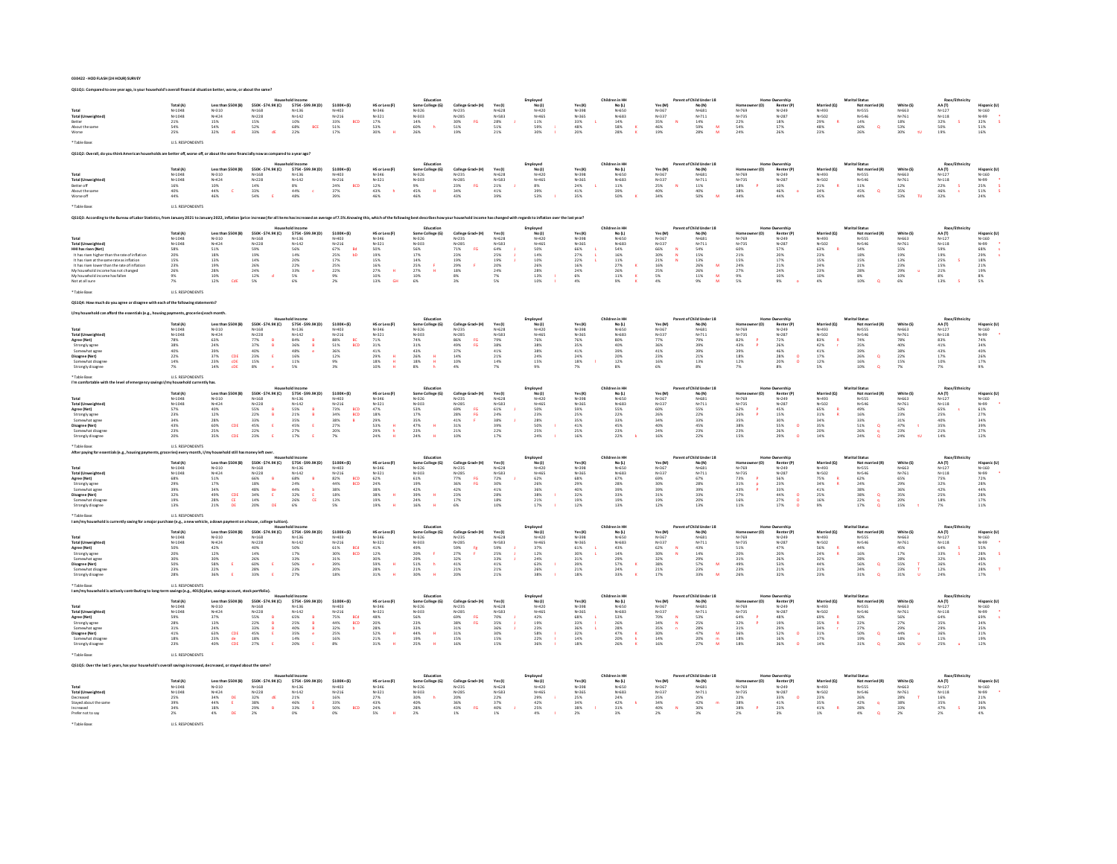**030422 - HOD FLASH (24 HOUR) SURVEY**

| <b>Total (Ur</b><br>About the s<br>Table Ras                                                                                                                                                                                                                                         | Total (A)<br>N=1048<br>$N = 1048$<br>$\frac{21\%}{54\%}$<br>25%<br>U.S. RESPONDENTS                                                     | Less than \$50K (B)<br>N=310<br>$N = 424$<br>15%<br>54%<br>32%<br><b>dF</b>                                                                                            | \$50K-\$74.9K(C)<br>N=168<br>$N = 228$<br>$\begin{array}{r} 15\% \\ 52\% \\ 33\% \end{array}$                                     | \$75K-\$99.9K(D)<br>N=136<br>N=142<br>$\frac{10\%}{68\%}$<br>BCE                                                       | \$100K+(E)<br>Na403<br>$N = 216$<br>$\begin{array}{r} 33\% \\ 51\% \\ 17\% \end{array}$<br>BCD       | HS or Less (F)<br>$N=346$<br>$N=321$<br>$\frac{17\%}{53\%}$<br>30%                                                                                                          | Education<br>Some College (G)<br>N=326<br>N=303<br>14%<br>60%<br>26%<br>h                                                  | College Grad+ (H)<br>$N=235$<br>$N=285$<br>30%<br>51%<br>19%<br>$_{\rm FG}$                                                      | Yes(1)<br>$N = 628$<br>$N = 583$<br>28%<br>51%<br>21%                                                                                                       | Employed<br>No (J)<br>N=420<br>N=465<br>11%<br>S9%<br>30%                                                                                                                                        | Yes (K)<br>N=398<br>N=365<br>33%<br>48%<br>20%                                            | Children in HF<br>No(L)<br>N=650<br>N=683<br>$\frac{14\%}{58\%}$<br>28%                        | Yes (M)<br>N=367<br>N=337<br>35%<br>46%<br>19%                                                                                                                                 | Parent of Child Under 18<br>No (N)<br>N=681<br>N=711<br>14%<br>59%<br>28%<br>${\bf M}$                                                         | N=769<br>N=735<br>22%<br>54%<br>24%                                                              | Renter (P)<br>N=249<br>N=287<br>18%<br>57%<br>26%                                                                                | Married (Q)<br>N=493<br>N=502<br>29%<br>48%<br>23%                                              | Marital Statu<br>Not married (R)<br>N=555<br>N=546<br>$\frac{14\%}{60\%}$<br>$\alpha$<br>26%                                                                       | White (S)<br>N=663<br>N=761<br>18%<br>53%<br>30%                                                   | Race/Fth<br>AA(T)<br>$N = 127$<br>$N = 118$<br>32%<br>50%<br>19%<br>$\sim$                                                           | Hispanic (U)<br>N=160<br>N=99<br>32%<br>32%<br>51%<br>16%                                 |
|--------------------------------------------------------------------------------------------------------------------------------------------------------------------------------------------------------------------------------------------------------------------------------------|-----------------------------------------------------------------------------------------------------------------------------------------|------------------------------------------------------------------------------------------------------------------------------------------------------------------------|-----------------------------------------------------------------------------------------------------------------------------------|------------------------------------------------------------------------------------------------------------------------|------------------------------------------------------------------------------------------------------|-----------------------------------------------------------------------------------------------------------------------------------------------------------------------------|----------------------------------------------------------------------------------------------------------------------------|----------------------------------------------------------------------------------------------------------------------------------|-------------------------------------------------------------------------------------------------------------------------------------------------------------|--------------------------------------------------------------------------------------------------------------------------------------------------------------------------------------------------|-------------------------------------------------------------------------------------------|------------------------------------------------------------------------------------------------|--------------------------------------------------------------------------------------------------------------------------------------------------------------------------------|------------------------------------------------------------------------------------------------------------------------------------------------|--------------------------------------------------------------------------------------------------|----------------------------------------------------------------------------------------------------------------------------------|-------------------------------------------------------------------------------------------------|--------------------------------------------------------------------------------------------------------------------------------------------------------------------|----------------------------------------------------------------------------------------------------|--------------------------------------------------------------------------------------------------------------------------------------|-------------------------------------------------------------------------------------------|
|                                                                                                                                                                                                                                                                                      |                                                                                                                                         | sare hetter off, worse off, or about the same financially now as compared to a year ago's                                                                              |                                                                                                                                   |                                                                                                                        |                                                                                                      |                                                                                                                                                                             |                                                                                                                            |                                                                                                                                  |                                                                                                                                                             |                                                                                                                                                                                                  |                                                                                           |                                                                                                |                                                                                                                                                                                |                                                                                                                                                |                                                                                                  |                                                                                                                                  |                                                                                                 |                                                                                                                                                                    |                                                                                                    |                                                                                                                                      |                                                                                           |
| Total<br>Total (Un<br>Retter off<br>About the same<br>Worse off                                                                                                                                                                                                                      | Total (A)<br>$N = 1048$<br>N=1048<br>16%<br>40%<br>44%                                                                                  | Less than \$50K (B)<br>$N = 310$<br>$N = 424$<br>$\frac{10\%}{44\%}$<br>$\epsilon$<br>46%                                                                              | \$50K-\$74.9K(C)<br>$N = 168$<br>N=228<br>14%<br>33%<br>54%                                                                       | \$75K-\$99.9K(D)<br>$N = 136$<br>$N = 142$<br>$\begin{array}{l} 8\% \\ 44\% \end{array}$<br>$\epsilon$<br>48%          | $$100K+ (E)$<br>N=403<br>N=216<br>24%<br>37%<br>39%<br>BCD                                           | HS or Less (F)<br>$N = 346$<br>$N = 321$<br>$\frac{12\%}{43\%}$<br>$\,$ h<br>46%                                                                                            | Education<br>Some College (G)<br>N=326<br>N=303<br>9%<br>45%<br>$\mathbf{H}$<br>46%                                        | College Grad+ (H)<br>$N = 235$<br>$N = 285$<br>23%<br>34%<br>43%<br>FG                                                           | Yes $(1)$<br>$N = 628$<br>N=583<br>$\begin{array}{l} 21\% \\ 41\% \end{array}$<br>39%                                                                       | Employed<br>No (J)<br>$N = 420$<br>N=465<br>8%<br>39%<br>53%                                                                                                                                     | Yes(K)<br>N=398<br>N=365<br>24%<br>41%<br>35%                                             | Children in HH<br>No(L)<br>N=650<br>N=683<br>$\frac{11\%}{39\%}$<br>50%                        | Yes (M)<br>N=367<br>N=337<br>25%<br>40%<br>34%<br>$\mathbf{M}$                                                                                                                 | Parent of Child Under 18<br>No (N)<br>N=681<br>$N = 711$<br>$\frac{11\%}{40\%}$<br>50%                                                         | (0)<br>$N = 769$<br>$N = 735$<br>18%<br>38%<br>44%                                               | <b>Home Ownership</b><br>Renter (P)<br>N=249<br>N=287<br>$\frac{10\%}{46\%}$<br>44%                                              | Married (Q)<br>N=493<br>N=502<br>N=502<br>21%<br>34%<br>45%                                     | <b>Marital Status</b><br>Not married (R)<br>$N = 555$<br>N=546<br>$^\mathrm{11\%}_\mathrm{45\%}$<br>$\alpha$<br>44%                                                | White (S)<br>N=663<br>N=761<br>$\begin{array}{r} 12\% \\ 35\% \\ 53\% \end{array}$<br>$\mathbf{m}$ | Race/Ethnicity<br>$AA(T)$<br>$N=127$<br>$N = 118$<br>22%<br>46%<br>32%<br>$\frac{S}{s}$                                              | Hispanic (U)<br>N=160<br>$N=99$<br>$25%$<br>$51%$<br>24%                                  |
| Table Ras                                                                                                                                                                                                                                                                            | U.S. RESPONDENTS                                                                                                                        |                                                                                                                                                                        |                                                                                                                                   |                                                                                                                        |                                                                                                      |                                                                                                                                                                             |                                                                                                                            |                                                                                                                                  |                                                                                                                                                             |                                                                                                                                                                                                  |                                                                                           |                                                                                                |                                                                                                                                                                                |                                                                                                                                                |                                                                                                  |                                                                                                                                  |                                                                                                 |                                                                                                                                                                    |                                                                                                    |                                                                                                                                      |                                                                                           |
| 05103: According to the Bureau of Labor Statistics, from January 2021 to January 2022, inflation forice increase) for all items has increased an average of 7.5%.Knowing this, which of the follo                                                                                    |                                                                                                                                         |                                                                                                                                                                        |                                                                                                                                   |                                                                                                                        |                                                                                                      |                                                                                                                                                                             |                                                                                                                            |                                                                                                                                  |                                                                                                                                                             | hold income has changed with regards to inflation over the last year?                                                                                                                            |                                                                                           |                                                                                                |                                                                                                                                                                                |                                                                                                                                                |                                                                                                  |                                                                                                                                  |                                                                                                 |                                                                                                                                                                    |                                                                                                    |                                                                                                                                      |                                                                                           |
| Total (Unweighted)<br>HHI has risen (Net)<br>It has risen higher than the rate of inflatio<br>It has risen at the same rate as inflation<br>It has risen lower than the rate of inflation<br>Ay household income has not changed<br>Ay household income has fallen<br>ot at all sure | Total (A)<br>N=1048<br>N=1048<br>58%<br>20%<br>15%<br>$\begin{array}{l} 23\% \\ 26\% \end{array}$<br>9%<br>7%<br><b>U.S. RESPONDENT</b> | Less than \$50K (B)<br>N=310<br>$N = 424$<br>$51%$<br>$18\%$<br>13%<br>$\frac{19\%}{28\%}$<br>$\frac{10\%}{12\%}$<br>CdE                                               | \$50K-\$74.9K(C)<br>$N = 168$<br>N=228<br>59%<br>19%<br>14%<br>26%<br>24%<br>12%<br>5%                                            | \$75K-\$99.9K(D)<br>$N = 136$<br>$N = 142$<br>56%<br>$14\%$<br>20%<br>22%<br>33%<br>$\frac{5\%}{6\%}$                  | $$100K+ (E)$<br>N=403<br>$N=216$<br>67%<br>Bd<br>25%<br>25%<br>25%<br>25%<br>bD.<br>9%<br>2%         | HS or Less (F)<br>$N = 346$<br>$N=321$<br>50%<br>$\begin{array}{r} 19\% \\ 15\% \end{array}$<br>$\begin{array}{r} 16\% \\ 27\% \\ 10\% \\ 13\% \end{array}$<br>$\mathbf{H}$ | Education<br>Some College (G)<br>N=326<br>$N=303$<br>56%<br>$\frac{17\%}{14\%}$<br>25%<br>27%<br>10%<br>6%                 | College Grad+ (H)<br>N=235<br>N=255<br>N=285<br>71%<br>23%<br>19%<br>29%<br>FG<br>8%<br>3%                                       | $\begin{array}{c} \texttt{Yes}\left( \texttt{I} \right) \\ \texttt{N=628} \end{array}$<br>$N = 583$<br>64%<br>25%<br>19%<br>20%<br>24%<br>$\frac{7\%}{5\%}$ | Employe<br>No (J)<br>N=420<br>N=465<br>S0%<br>14%<br>10%<br>26%<br>28%<br>13%<br>13%                                                                                                             | Yes(K)<br>N=398<br>N=363<br>66%<br>27%<br>22%<br>$\frac{16\%}{24\%}$<br>$\frac{6\%}{4\%}$ | Children in HH<br>No (L)<br>N=650<br>$N = 683$<br>54%<br>16%<br>16%<br>11%<br>27%<br>26%<br>9% | $\begin{array}{c} \mathsf{Yes}\left(\mathsf{M}\right) \\ \mathsf{N} \text{-} 367 \end{array}$<br>$N = 337$<br>66%<br>30%<br>21%<br>25%<br>25%<br>5%<br>4%<br>N<br>$\mathbf{N}$ | Parent of Child Under 18<br>No (N)<br>N=681<br>$N=711$<br>54%<br>15%<br>15%<br>13%<br>26%<br>26%<br>M<br>$\frac{\mathsf{M}}{\mathsf{M}}$<br>9% | $N = 769$<br>$N = 735$<br>60%<br>21%<br>15%<br>$\frac{24\%}{27\%}$<br>9%<br>5%                   | <b>Home Ownership</b><br>Renter (P)<br>$N=287$<br>57%<br>20%<br>17%<br>$\frac{21\%}{24\%}$<br>$10\%$<br>9%                       | Married (Q)<br>N=493<br>N=502<br>63%<br>23%<br>15%<br>24%<br>23%<br>10%<br>4%                   | <b>Marital Status</b><br>Not married (R)<br>N=555<br>$N = 546$<br>54%<br>18%<br>15%<br>$21\%$<br>28%<br>8%<br>10%                                                  | White (S)<br>$N=663$<br>N=761<br>55%<br>19%<br>19%<br>13%<br>23%<br>29%<br>10%<br>6%               | Race/Ethnicity<br>$AA(T)$<br>$N=127$<br>$N = 118$<br>59%<br>19%<br>25%<br>$\begin{array}{r} 15\% \\ 21\% \\ 8\% \\ 13\% \end{array}$ | Hispanic (U)<br>N=160<br>N=99<br>68%<br>29%<br>18%<br>21%<br>19%<br>8%<br>5%              |
| uch do you agree or disagree with each of the following state                                                                                                                                                                                                                        |                                                                                                                                         |                                                                                                                                                                        |                                                                                                                                   |                                                                                                                        |                                                                                                      |                                                                                                                                                                             |                                                                                                                            |                                                                                                                                  |                                                                                                                                                             |                                                                                                                                                                                                  |                                                                                           |                                                                                                |                                                                                                                                                                                |                                                                                                                                                |                                                                                                  |                                                                                                                                  |                                                                                                 |                                                                                                                                                                    |                                                                                                    |                                                                                                                                      |                                                                                           |
|                                                                                                                                                                                                                                                                                      |                                                                                                                                         |                                                                                                                                                                        |                                                                                                                                   |                                                                                                                        |                                                                                                      |                                                                                                                                                                             |                                                                                                                            |                                                                                                                                  |                                                                                                                                                             |                                                                                                                                                                                                  |                                                                                           |                                                                                                |                                                                                                                                                                                |                                                                                                                                                |                                                                                                  |                                                                                                                                  |                                                                                                 |                                                                                                                                                                    |                                                                                                    |                                                                                                                                      |                                                                                           |
| Total (Unweight<br>Agree (Net)<br>Strongly agree<br>Somewhat agree<br>Disagree (Net)<br>Somewhat disagre                                                                                                                                                                             | Total (A)<br>$N = 1048$<br>$N = 1048$<br>78%<br>38%<br>40%<br>22%<br>14%<br>7%                                                          | Less than \$50K (B)<br>N=310<br>$N = 424$<br>63%<br>$24\%$<br>39%<br>37%<br>23%<br>$\begin{array}{l} {\rm CDE}\\ {\rm CDE}\\ {\rm CDE}\\ {\rm CDE} \end{array}$<br>14% | \$50K-\$74.9K(C)<br>N=168<br>$N = 228$<br>77%<br>37%<br>40%<br>40%<br>23%<br>15%<br>B<br>$\epsilon$<br>8%                         | \$75K-\$99.9K(D)<br>N=136<br>N=142<br>84%<br>36%<br>B<br>48%<br>16%<br>11%                                             | $$100K+ (E)$<br>Na403<br>N=403<br>N=216<br>88%<br>51%<br>51%<br>36%<br>12%<br>BC<br>BCD<br>9%<br>3%  | HS or Less (F)<br>$N=346$<br>$N=321$<br>$\frac{71\%}{31\%}$<br>41%<br>$\frac{29\%}{18\%}$<br>$\,$ H<br>$\mathbf{H}$<br>10%                                                  | Education<br>Some College (G)<br>36mm =<br>N=326<br>N=303<br>74%<br>31%<br>43%<br>$\frac{26\%}{18\%}$<br>$8\%$             | College Grad+ (H)<br>$N = 235$<br>$N = 285$<br>86%<br>49%<br>37%<br>14%<br>10%<br>FG<br>FG<br>4%                                 | Yes(1)<br>$N = 628$<br>$N = 583$<br>79%<br>38%<br>41%<br>21%<br>14%                                                                                         | Employed<br>No (J)<br>Na420<br>N=465<br>76%<br>38%<br>38%<br>38%<br>24%<br>15%                                                                                                                   | Yes (K)<br>N=398<br>N=365<br>76%<br>35%<br>41%<br>24%<br>18%<br>7%                        | Children in HH<br>No(L)<br>Nunsn<br>$N = 683$<br>80%<br>40%<br>39%<br>20%<br>12%               | Yes (M)<br>N=367<br>$N = 337$<br>77%<br>36%<br>41%<br>23%<br>16%                                                                                                               | Parent of Child Under 18<br>No (N)<br>Nu681<br>$N = 711$<br>79%<br>39%<br>39%<br>21%<br>13%<br>8%                                              | $N = 769$<br>N=769<br>N=735<br>82%<br>43%<br>43%<br>18%<br>18%                                   | Nunership<br>Renter (P)<br>N=287<br>N=287<br>72%<br>26%<br>46%<br>46%<br>28%<br>$\sim$<br>8%                                     | Married (Q)<br>N=493<br>N=493<br>N=502<br>83%<br>42%<br>41%<br>17%<br>17%                       | Marital Status<br>Not married (R)<br>$N = 555$<br>$N = 546$<br>74%<br>35%<br>39%<br>26%<br>ø<br>16%<br>10%<br>ø                                                    | White (S)<br>FAALM<br>$N = 761$<br>78%<br>40%<br>38%<br>22%<br>15%<br>7%                           | Race/Ethnicit<br>AA(T)<br>$N = 127$<br>$N = 118$<br>$_{41\%}^{83\%}$<br>43%<br>17%<br>10%<br>7%                                      | Hispanic (U)<br>Hispann<br>N=160<br>N=99<br>74%<br>34%<br>40%<br>26%<br>26%               |
| Table Ras                                                                                                                                                                                                                                                                            | U.S. RESPONDENT:                                                                                                                        |                                                                                                                                                                        |                                                                                                                                   |                                                                                                                        |                                                                                                      |                                                                                                                                                                             |                                                                                                                            |                                                                                                                                  |                                                                                                                                                             |                                                                                                                                                                                                  |                                                                                           |                                                                                                |                                                                                                                                                                                |                                                                                                                                                |                                                                                                  |                                                                                                                                  |                                                                                                 |                                                                                                                                                                    |                                                                                                    |                                                                                                                                      |                                                                                           |
| <b>Total (Unweighted)</b><br>Agree (Net)<br>Strongly agree<br>Somewhat agree<br>Disagree (Net)<br>Somewhat disagn<br>Strongly disagre                                                                                                                                                | <b>Total (A)</b><br>N=1048<br>N=1048<br>57%<br>23%<br>$\substack{34\% \\ 43\%}$<br>23%<br>20%                                           | Less than \$50K (B)<br>N=310<br>N=424<br>$\frac{40\%}{12\%}$<br>28%<br>60%<br>CDE<br>25%<br>35%<br>CDE                                                                 | \$50K-\$74.9K(C)<br>N=168<br>$N = 228$<br>55%<br>22%<br>$\frac{8}{8}$<br>33%<br>45%<br><b>E</b><br>22%<br>23%                     | \$75K-\$99.9K(D)<br>N=136<br>$N = 142$<br>55%<br>21%<br>$\frac{B}{B}$<br>35%<br>45%<br><b>E</b><br>$\frac{27\%}{17\%}$ | \$100K+(E)<br>N=403<br>$N = 216$<br>73%<br>34%<br>38%<br>27%<br>20%<br>7%<br>BCD<br>BCD              | HS or Less (F)<br>N=346<br>$N = 321$<br>47%<br>47%<br>18%<br>29%<br>53%<br>29%                                                                                              | Education<br>Some College (G)<br>N=326<br>N=303<br>53%<br>17%<br>35%<br>47%<br>$\mathbf{H}$<br>23%<br>24%                  | College Grad+ (H)<br>$N = 235$<br>$N = 285$<br>69%<br>28%<br>41%<br>41%<br>21%<br>21%<br>$\frac{\mathsf{FG}}{\mathsf{FG}}$       | Yes (I)<br>$N=628$<br>$N=583$<br>$\frac{61\%}{24\%}$<br>38%<br>39%<br>22%<br>17%                                                                            | Employed<br>No (J)<br>N=420<br>N=465<br>FC:<br>50%<br>23%<br>28%<br>50%<br>25%<br>24%                                                                                                            | Yes (K)<br>$N = 398$<br>N=365<br>59%<br>25%<br>35%<br>41%<br>25%<br>16%                   | Children in H<br>No (L)<br>N=650<br>$N = 683$<br>55%<br>22%<br>33%<br>45%<br>$^{23\%}_{22\%}$  | Yes (M)<br>N=367<br>N=337<br>$\frac{60\%}{26\%}$<br>$_{40\%}^{34\%}$<br>24%<br>16%                                                                                             | of Child Under 18<br>No (N)<br>N=681<br>N=711<br>55%<br>22%<br>33%<br>45%<br>23%<br>22%                                                        | er (O)<br>Homeo<br>N=769<br>N=735<br>62%<br>26%<br>35%<br>38%<br>38%<br>23%                      | Renter (P)<br>N=249<br>N=287<br>$\begin{array}{l} 45\% \\ 15\% \end{array}$<br>30%<br>55%<br>$\circ$<br>$\frac{26\%}{29\%}$      | Married (Q)<br>N=493<br>N=502<br>65%<br>31%<br>34%<br>35%<br>20%<br>14%                         | Not married (R)<br>N=555<br>N=546<br>$\begin{array}{l} 49\% \\ 16\% \end{array}$<br>$\begin{array}{l} 33\% \\ 51\% \end{array}$<br>$\alpha$<br>$\frac{26\%}{24\%}$ | White (S)<br>N=663<br>N=761<br>53%<br>23%<br>31%<br>47%<br>23%<br>24%                              | Race/Eth<br>AA(T)<br>$N = 127$<br>$N = 118$<br>$\frac{65\%}{25\%}$<br>$\frac{40\%}{35\%}$<br>$^{21\%}_{14\%}$                        | Hispanic (U)<br>Hispanic<br>N=160<br>N=99<br>61%<br>27%<br>39%<br>27%<br>27%              |
|                                                                                                                                                                                                                                                                                      | U.S. RESPONDENT:                                                                                                                        |                                                                                                                                                                        |                                                                                                                                   |                                                                                                                        |                                                                                                      |                                                                                                                                                                             |                                                                                                                            |                                                                                                                                  |                                                                                                                                                             |                                                                                                                                                                                                  |                                                                                           |                                                                                                |                                                                                                                                                                                |                                                                                                                                                |                                                                                                  |                                                                                                                                  |                                                                                                 |                                                                                                                                                                    |                                                                                                    |                                                                                                                                      |                                                                                           |
| <b>Total (Unweighted</b><br>Agree (Net)<br>Strongly agree<br>Somewhat agree<br>Disagree (Net)<br>somewhat disagn<br>Strongly disagre                                                                                                                                                 | Total (A)<br>$N = 1048$<br>N=1048<br>68%<br>29%<br>39%<br>32%<br>19%<br>13%                                                             | Less than SSOK (R)<br>N=310<br>$N = 424$<br>$51\%$<br>17%<br>34%<br>49%<br>28%<br>$\frac{\text{CDE}}{\text{CE}}$<br>21%                                                | \$50K-\$74.9K(C)<br>$N = 168$<br>$N = 228$<br>$66\%$<br>$18\%$<br>$48\%$<br>$34\%$<br>B<br>Be<br>$\mathsf E$<br>14%<br>20%<br>ns. | \$75K-\$99,9K(D)<br>$N = 136$<br>$N = 142$<br>68%<br>B<br>24%<br>44%<br>32%<br>26%<br>E<br>CE<br>6%                    | $$100K+ (E)$<br>N=403<br>$N=216$<br>82%<br>44%<br>48%<br>38%<br>18%<br>13%<br>BCD<br>BCD<br>5%       | HS or Less (F)<br>N=346<br>$N = 321$<br>N=32<br>62%<br>24%<br>38%<br>38%<br>38%<br>19%<br>$\mathbf{H}$                                                                      | Education<br>Some College (G)<br>N=326<br>N=303<br>61%<br>19%<br>19%<br>42%<br>39%<br>H<br>24%<br>16%                      | College Grad+ (H)<br>$N = 235$<br>$N = 285$<br>77%<br>77%<br>36%<br>42%<br>42%<br>23%<br>$\frac{\mathsf{FG}}{\mathsf{FG}}$<br>6% | Yes (I)<br>N=628<br>$N = 583$<br>72%<br>30%<br>41%<br>28%<br>18%<br>10%                                                                                     | $\begin{array}{c} \mathsf{Employee}\ \mathsf{No}\ \mathsf{(J)}\\ \mathsf{No}\ \mathsf{(J)}\\ \mathsf{N}{\scriptscriptstyle =}420 \end{array}$<br>Nu465<br>62%<br>26%<br>36%<br>38%<br>21%<br>17% | Yes (K)<br>$N = 398$<br>N=365<br>68%<br>29%<br>40%<br>32%<br>19%<br>12%                   | Children in HH<br>No (L)<br>N=650<br>Nu683<br>67%<br>28%<br>39%<br>33%<br>19%<br>13%           | Yes (M)<br>$N = 367$<br>Na337<br>69%<br>30%<br>39%<br>31%<br>19%<br>12%                                                                                                        | Parent of Child Under 18<br>$N = (N)$<br>$N = 681$<br>N=711<br>67%<br>28%<br>39%<br>33%<br>20%<br>13%                                          | N=769<br>N=769<br>N=73%<br>73%<br>31%<br>31%<br>43%<br>27%<br>16%<br>11%                         | Renter (P<br>N=249<br>$N=287$<br>$N=287$<br>$23%$<br>$33%$<br>$33%$<br>$\circ$<br>$\frac{27\%}{17\%}$                            | Married (0)<br>N=493<br>NuSO2<br>75%<br>75%<br>34%<br>41%<br>25%<br>16%<br>9%                   | <b>Marital Status</b><br>Not married (R)<br>N=555<br>NuSAR<br>$62\%$<br>24%<br>38%<br>$\alpha$<br>38%<br>22%<br>$\alpha$<br>17%                                    | White (S)<br>$N+663$<br>N=761<br>65%<br>29%<br>36%<br>35%<br>20%<br>20%                            | Race/Ethnicity<br>$AA(T)$<br>$N=127$<br>No118<br>$75\%$<br>32%<br>42%<br>25%<br>18%<br>7%                                            | Hispanic (U)<br>N=160<br>N-99<br>72%<br>28%<br>44%<br>28%<br>$\frac{17\%}{11\%}$          |
|                                                                                                                                                                                                                                                                                      | U.S. RESPONDENT:                                                                                                                        |                                                                                                                                                                        |                                                                                                                                   |                                                                                                                        |                                                                                                      |                                                                                                                                                                             |                                                                                                                            |                                                                                                                                  |                                                                                                                                                             |                                                                                                                                                                                                  |                                                                                           |                                                                                                |                                                                                                                                                                                |                                                                                                                                                |                                                                                                  |                                                                                                                                  |                                                                                                 |                                                                                                                                                                    |                                                                                                    |                                                                                                                                      |                                                                                           |
| Total (Unweighted<br>Agree (Net)<br>Strongly agree<br>Somewhat agree<br>Disagree (Net)<br>Somewhat disagre                                                                                                                                                                           | $N = 1048$<br>N=1048<br>50%<br>20%<br>30%<br>50%<br>50%<br>23%<br>28%                                                                   | Less than \$50K (B)<br>$N = 310$<br>$N = 424$<br>$42%$<br>$12\%$<br>30%<br>58%<br>22%<br><b>E</b><br>36%                                                               | \$50K-\$74.9K(C)<br>$N = 168$<br>N=228<br>40%<br>$14\%$<br>26%<br>60%<br>28%<br>33%                                               | \$75K-\$99.9K(D)<br>$N = 136$<br>$N = 142$<br>50%<br>$\begin{array}{c} 17\% \\ 33\% \end{array}$<br>50%<br>23%<br>27%  | \$100K+(E)<br>N=403<br>N=4u3<br>N=216<br>61%<br>30%<br>31%<br>39%<br>20%<br>BCd<br>BCD<br>18%        | HS or Less (F)<br>$N = 346$<br>N=34b<br>N=321<br>41%<br>42%<br>30%<br>59%<br>28%<br>$\mathbf{H}$<br>31%                                                                     | Education<br>Some College (G)<br>$N = 326$<br>N=3.2b<br>N=303<br>49%<br>20%<br>29%<br>29%<br>51%<br>21%<br>- F<br>h<br>30% | College Grad+ (H)<br>$N = 235$<br>N=235<br>N=285<br>59%<br>27%<br>27%<br>32%<br>41%<br>21%<br>$\frac{R}{\epsilon}$<br>20%        | Yes(1)<br>$N = 628$<br>N=040<br>N=583<br>59%<br>25%<br>33%<br>$\frac{41\%}{21\%}$<br>21%                                                                    | Employed<br>No (J)<br>N=420<br>$N=465$ $N=465$ $37%$ $12%$ $24%$ $26%$ $26%$<br>38%                                                                                                              | Yes(K)<br>N=398<br>$N = 365$<br>61%<br>$30\%$<br>$31\%$<br>$39\%$<br>$21\%$<br>18%        | Children in HH<br>No (L)<br>N=650<br>N=b50<br>N=683<br>43%<br>43%<br>29%<br>27%<br>24%<br>33%  | Yes (M)<br>N=367<br>N=367<br>N=337<br>62%<br>30%<br>32%<br>$\mathbf N$<br>$\frac{38\%}{21\%}$<br>17%                                                                           | Parent of Child Under 18<br>No (N)<br>$N = 681$<br>N=b81<br>N=711<br>43%<br>43%<br>14%<br>29%<br>57%<br>23%<br>M<br>33%                        | $N = 769$<br>$N = 735$<br>51%<br>20%<br>31%<br>49%<br>23%<br>26%                                 | <b>Home Ownership</b><br>Renter (P)<br>N=249<br>N=287<br>47%<br>$\begin{array}{l} 20\% \\ 26\% \end{array}$<br>53%<br>21%<br>32% | Married (Q)<br>N=493<br>N=+3.<br>N=502<br>56%<br>24%<br>32%<br>$\mathbf R$<br>44%<br>21%<br>23% | <b>Marital Status</b><br>Not married (R)<br>$N = 555$<br>N=546<br>44%<br>$16\%$<br>28%<br>$\frac{56\%}{24\%}$<br>$\alpha$<br>31%<br><b>n</b>                       | White (S<br>N=663<br>$N=761$<br>45%<br>17%<br>28%<br>55%<br>55%<br>31%                             | Race/Ethnicity<br>AA (T)<br>$N = 127$<br>$N = 118$<br>64%<br>33%<br>32%<br>36%<br>36%<br>24%                                         | Hispanic (U)<br>$N = 160$<br>N=99<br>N=99<br>S5%<br>28%<br>28%<br>45%<br>28%<br>−s<br>17% |
|                                                                                                                                                                                                                                                                                      | U.S. RESPONDENTS                                                                                                                        | ings (e.g., 401(k) plan, savings account, stock portfolio                                                                                                              |                                                                                                                                   |                                                                                                                        |                                                                                                      |                                                                                                                                                                             | Education                                                                                                                  |                                                                                                                                  |                                                                                                                                                             |                                                                                                                                                                                                  |                                                                                           | Children in HH                                                                                 |                                                                                                                                                                                | f Child Linder 18                                                                                                                              |                                                                                                  |                                                                                                                                  |                                                                                                 | <b>Marital Statu</b>                                                                                                                                               |                                                                                                    | Race/Ethnicit                                                                                                                        |                                                                                           |
| Total (Unweighted)<br>Agree (Net)<br>Strongly agree<br>Somewhat agree<br>Disagree (Net)<br>Somewhat disagre                                                                                                                                                                          | Total (A)<br>$N=1048$<br>$N=1048$<br>$\begin{array}{r} 59\% \\ 28\% \\ 31\% \\ 41\% \\ 18\% \end{array}$<br>23%                         | Less than \$50K (B)<br>N=310<br>$N = 424$<br>37%<br>13%<br>24%<br>63%<br>23%<br>CDE<br>$\frac{\mathrm{d} \mathrm{e}}{\mathrm{c} \mathrm{D} \mathrm{E}}$<br>40%         | \$50K-\$74.9K(C)<br>$N = 168$<br>$N = 228$<br>55%<br>22%<br>×<br>33%<br>45%<br>18%<br>279                                         | \$75K-\$99.9K(D)<br>N=136<br>N=142<br>65%<br>25%<br>40%<br>35%<br>B<br>14%                                             | $$100K+ [E]$<br>N=403<br>N=403<br>N=216<br>75%<br>44%<br>32%<br>25%<br>16%<br>16%<br>BCd<br>BCD<br>ъ | HS or Less (F)<br>$N=346$<br>$N=321$<br>48%<br>20%<br>28%<br>52%<br>52%<br>$\,$ H<br>31%                                                                                    | Some College (G)<br>N=326<br>N=326<br>56%<br>23%<br>33%<br>44%<br>19%<br>25%<br>$\mathbf{H}$                               | College Grad+ (H)<br>$N=235$<br>$N=285$<br>69%<br>38%<br>31%<br>31%<br>15%<br>$\frac{\mathsf{FG}}{\mathsf{FG}}$<br>16%           | Yes(1)<br>res <sub>VJ</sub><br>N=628<br>N=583<br>70%<br>35%<br>36%<br>30%<br>30%<br>15%                                                                     | Employed<br>No (J)<br>N=420<br>N=465<br>42%<br>19%<br>23%<br>58%<br>22%<br>22%                                                                                                                   | Yes (K)<br>N=398<br>N=365<br>68%<br>33%<br>36%<br>32%<br>14%<br>18%                       | No(L)<br>$N=650$<br>$N = 683$<br>53%<br>26%<br>28%<br>47%<br>20%<br>26%                        | Yes (M)<br>N=367<br>$N = 337$<br>70%<br>34%<br>35%<br>30%<br>14%<br>$\mathbf{M}$                                                                                               | No (N)<br>N=681<br>N=711<br>$\frac{53\%}{25\%}$<br>28%<br>47%<br>20%<br>27%<br>M<br>$\frac{m}{m}$                                              | Homeo<br>N=769<br>N=735<br>$64%$<br>$32%$<br>$31%$<br>$36%$<br>$18%$<br><b>P</b>                 | Nonership<br>Renter (P)<br>N=287<br>N=287<br>48%<br>19%<br>29%<br>S2%<br>16%<br>$\circ$<br>36%                                   | Married (Q)<br>N=493<br>N=502<br>69%<br>35%<br>34%<br>31%<br>17%<br>14%                         | Not married (R)<br>$N = 555$<br>N=546<br>50%<br>22%<br>27%<br>50%<br>19%<br>$\mathbf{Q}$<br>31%<br><b>n</b>                                                        | White (S)<br>N=663<br>$N = 761$<br>$56%$<br>$27%$<br>29%<br>44%<br>18%<br>26%                      | AA(T)<br>$N=127$<br>$N=118$<br>64%<br>35%<br>29%<br>36%<br>11%<br>25%                                                                | Hispanic (U)<br>Hispanic<br>N=99<br>69%<br>53%<br>33%<br>31%<br>19%<br>19%                |
|                                                                                                                                                                                                                                                                                      | U.S. RESPONDENT:                                                                                                                        | rall savings increased, decreased, or stayed at                                                                                                                        |                                                                                                                                   |                                                                                                                        |                                                                                                      |                                                                                                                                                                             |                                                                                                                            |                                                                                                                                  |                                                                                                                                                             |                                                                                                                                                                                                  |                                                                                           |                                                                                                |                                                                                                                                                                                |                                                                                                                                                |                                                                                                  |                                                                                                                                  |                                                                                                 |                                                                                                                                                                    |                                                                                                    |                                                                                                                                      |                                                                                           |
| <b>Total (Unweighted</b><br>Decreased<br>Stayed about the same<br>ncreased<br>refer not to sa                                                                                                                                                                                        | <b>Total (A)</b><br>N=1048<br>N=1048<br>25%<br>39%<br>34%<br>2%<br><b>IIS RESPOND</b>                                                   | Less than \$50K (B)<br>$N=310$<br>$N=424$<br>$\frac{34\%}{44\%}$<br>$\frac{\mathsf{DE}}{\mathsf{E}}$<br>$18\%$<br>4%                                                   | \$50K-\$74.9K(C)<br>$N = 168$<br>$N = 228$<br>32%<br>38%<br>29%<br>2%<br>$\mathsf{d}\mathsf{E}$<br><b>B</b>                       | \$75K-\$99,9K(D)<br>$N=136$<br>$N=142$<br>$\begin{array}{l} 21\% \\ 46\% \end{array}$<br>Æ.<br>33%                     | \$100K+(E)<br>$N=403$<br>$N=216$<br>16%<br>33%<br>50%<br>0%<br>BCD                                   | HS or Less (F)<br>N=346<br>N=346<br>27%<br>43%<br>24%<br>5%                                                                                                                 | Some College (G)<br>N=326<br>N=326<br>30%<br>40%<br>28%<br>2%                                                              | College Grad+ (H)<br>N=235<br>N=285<br>20%<br>36%<br>43%<br>RG                                                                   | Yes (I)<br>$N=628$<br>$N=583$<br>22%<br>37%<br>$40\%$                                                                                                       | Employed<br>No (J)<br>N=420<br>N=465<br>Zor:<br>29%<br>42%<br>25%<br>4%                                                                                                                          | Yes (K)<br>$N = 398$<br>N=365<br>25%<br>34%<br>38%                                        | Children in H<br>No (L)<br>$N=650$<br>$N=683$<br>$\frac{24\%}{42\%}$<br>31%                    | Yes (M)<br>N=367<br>N=367<br>N=337<br>25%<br>34%<br>40%                                                                                                                        | fChild Under 18<br>No (N)<br>N=681<br>N=711<br>25%<br>42%<br>30%                                                                               | er (O)<br>Homeoy<br>N=769<br>N=735<br>$\begin{array}{r} 22\% \\ 38\% \\ 38\% \\ 2\% \end{array}$ | Renter (P)<br>$N=249$<br>$N=287$<br>$\substack{33\% \\ 41\%}$<br>23%                                                             | Married (Q)<br>N=493<br>N=493<br>N=502<br>23%<br>35%<br>41%<br>1%                               | Not married (R)<br>N=555<br>N=546<br>$\begin{array}{l} 26\% \\ 42\% \end{array}$<br>$\blacksquare$<br>$28\%$                                                       | White (S)<br>N=663<br>N=761<br>28%<br>38%<br>33%<br>33%                                            | Race/Etl<br>$AA(T)$<br>$N=127$<br>$N=118$<br>$\begin{array}{r} 16\% \\ 35\% \\ 47\% \\ 2\% \end{array}$                              | Hispanic (U)<br>Hispanic<br>N=99<br>21%<br>36%<br>39%<br>4%                               |
|                                                                                                                                                                                                                                                                                      |                                                                                                                                         |                                                                                                                                                                        |                                                                                                                                   |                                                                                                                        |                                                                                                      |                                                                                                                                                                             |                                                                                                                            |                                                                                                                                  |                                                                                                                                                             |                                                                                                                                                                                                  |                                                                                           |                                                                                                |                                                                                                                                                                                |                                                                                                                                                |                                                                                                  |                                                                                                                                  |                                                                                                 |                                                                                                                                                                    |                                                                                                    |                                                                                                                                      |                                                                                           |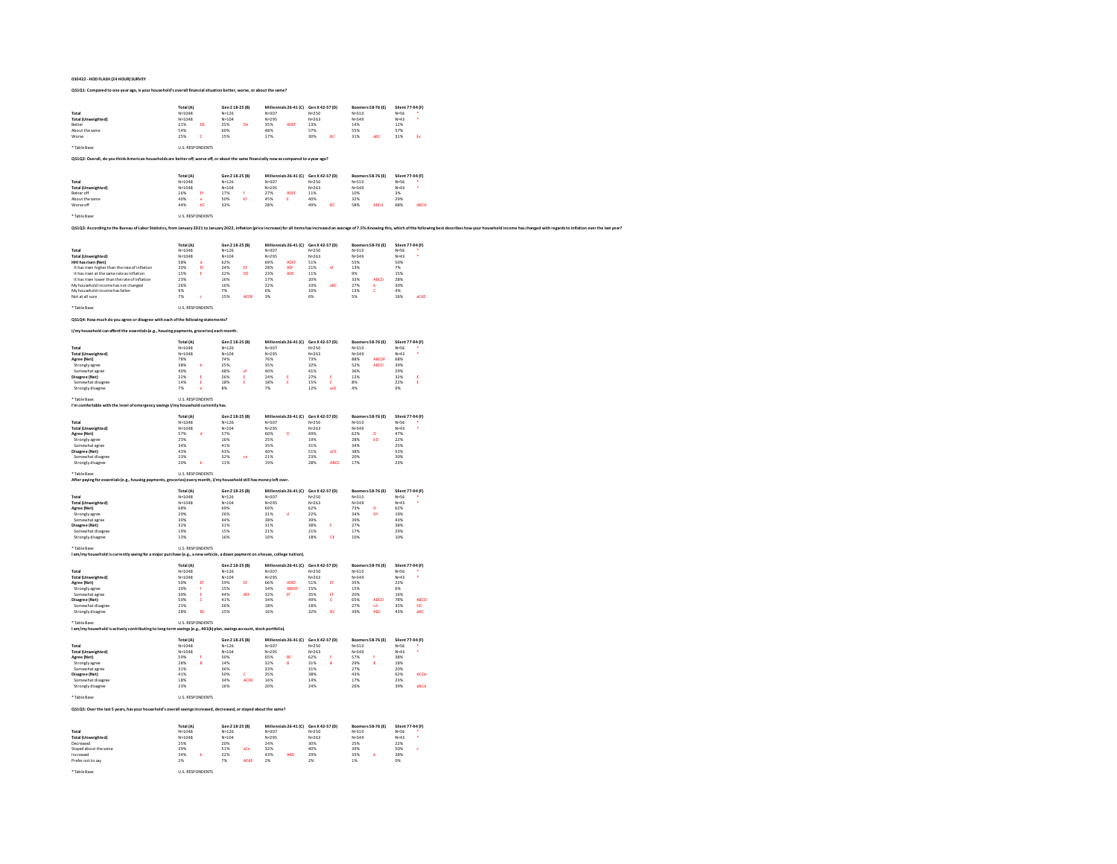## **030422 - HOD FLASH (24 HOUR) SURVEY**

## **QS1Q1: Compared to one year ago, is your household's overall financial situation better, worse, or about the same?**

| Total                                                                                                                                                                                                                          | Total (A)<br>$N = 1048$  |                         | Gen Z 18-25 (B)<br>$N = 126$ |           | Miller<br>$N = 307$    | ials 26-41 (C)                        | Gen X 42-57 (D)<br>$N = 250$ |                 | Boomers 58-76 (E)<br>$N = 310$ |              | Silent 77-94 (F)<br>$N = 56$ |                         |
|--------------------------------------------------------------------------------------------------------------------------------------------------------------------------------------------------------------------------------|--------------------------|-------------------------|------------------------------|-----------|------------------------|---------------------------------------|------------------------------|-----------------|--------------------------------|--------------|------------------------------|-------------------------|
| Total (Unweighted)                                                                                                                                                                                                             | $N = 1048$               |                         | $N = 104$                    |           | N=295                  |                                       | $N = 263$                    |                 | N=349                          |              | $N = 43$                     |                         |
| Better<br>About the same                                                                                                                                                                                                       | 21%<br>54%               | DE                      | 25%<br>60%                   | n,        | 35%<br>48%             | <b>ADEF</b>                           | 13%<br>57%                   |                 | 14%<br>55%                     |              | 12%<br>57%                   |                         |
| Worse                                                                                                                                                                                                                          | 25%                      | ċ                       | 15%                          |           | 17%                    |                                       | 30%                          | RC <sub>1</sub> | 31%                            |              | 31%                          | Ы                       |
| * Table Base                                                                                                                                                                                                                   |                          | <b>U.S. RESPONDENTS</b> |                              |           |                        |                                       |                              |                 |                                |              |                              |                         |
| Q\$1Q2: Overall, do you think American households are better off, worse off, or about the same financially now as compared to a year ago?                                                                                      |                          |                         |                              |           |                        |                                       |                              |                 |                                |              |                              |                         |
|                                                                                                                                                                                                                                |                          |                         |                              |           |                        |                                       |                              |                 |                                |              |                              |                         |
|                                                                                                                                                                                                                                | Total (A)                |                         | Gen Z 18-25 (B)              |           |                        | Millennials 26-41 (C) Gen X 42-57 (D) |                              |                 | Boomers 58-76 (E)              |              | Silent 77-94 (F)             |                         |
| Total<br><b>Total (Unweighted)</b>                                                                                                                                                                                             | $N = 1048$<br>$N = 1048$ |                         | $N = 126$<br>$N = 104$       |           | $N = 307$<br>$N = 295$ |                                       | N=250<br>$N = 263$           |                 | $N = 310$<br>$N = 349$         |              | $N = 56$<br>$N = 43$         |                         |
| Better off<br>About the s                                                                                                                                                                                                      | 16%<br>40%               | $_{\rm ff}$             | 17%<br>50%                   |           | 27%<br>45%             | ADEF<br>Ė                             | 11%<br>40%                   |                 | 10%<br>32%                     |              | 3%<br>29%                    |                         |
| Worse off                                                                                                                                                                                                                      | 44%                      | ЪC                      | 33%                          |           | 28%                    |                                       | 49%                          | BC              | 58%                            | ABCd         | 68%                          | ABCd                    |
| * Table Base                                                                                                                                                                                                                   |                          | <b>U.S. RESPONDENTS</b> |                              |           |                        |                                       |                              |                 |                                |              |                              |                         |
|                                                                                                                                                                                                                                |                          |                         |                              |           |                        |                                       |                              |                 |                                |              |                              |                         |
| QS1Q3: According to the Bureau of Labor Statistics, from January 2021 to January 2022, inflation (price increase) for all items has increased an average of 7.5%. Knowing this, which of the following best describes how your |                          |                         |                              |           |                        |                                       |                              |                 |                                |              |                              |                         |
|                                                                                                                                                                                                                                | Total (A)                |                         | Gen Z 18-25 (B)              |           |                        | Millennials 26-41 (C) Gen X 42-57 (D) |                              |                 | Boomers 58-76 (E)              |              | Silent 77-94 (F)             |                         |
| Total                                                                                                                                                                                                                          | $N = 1048$               |                         | $N = 126$                    |           | $N = 307$              |                                       | $N = 250$                    |                 | $N = 310$                      |              | $N = 56$                     |                         |
| <b>Total (Unweighted)</b><br>HHI has risen (Net)                                                                                                                                                                               | $N = 1048$<br>58%        |                         | $N = 104$<br>62%             |           | $N = 295$<br>69%       | ADER                                  | $N = 263$<br>51%             |                 | $N = 349$<br>55%               |              | $N = 43$<br>50%              |                         |
| It has risen higher than the rate of inflation                                                                                                                                                                                 | 20%                      | <b>Ef</b>               | 24%                          | ø         | 28%                    | AEF<br><b>ADE</b>                     | 21%                          |                 | 13%                            |              | 7%                           |                         |
| It has risen at the same rate as inflation<br>It has risen lower than the rate of inflation                                                                                                                                    | 15%<br>23%               |                         | 22%<br>16%                   | DE        | 23%<br>17%             |                                       | 11%<br>20%                   |                 | 33%                            | <b>ABCD</b>  | 15%<br>28%                   |                         |
| My household income has not changed                                                                                                                                                                                            | 26%<br>9%                |                         | 16%<br>7%                    |           | 22%<br>6%              |                                       | 33%                          |                 | 27%<br>13%                     | ъ<br>ċ       | 30%<br>4%                    |                         |
| My household income has fallen<br>Not at all sure                                                                                                                                                                              | 7%                       |                         | 15%                          | ACDE      | 3%                     |                                       | 10%<br>6%                    |                 | 5%                             |              | 16%                          | aCdE                    |
| * Table Base:                                                                                                                                                                                                                  |                          | <b>U.S. RESPONDENTS</b> |                              |           |                        |                                       |                              |                 |                                |              |                              |                         |
|                                                                                                                                                                                                                                |                          |                         |                              |           |                        |                                       |                              |                 |                                |              |                              |                         |
| QS1Q4: How much do you agree or disagree with each of the following statements?                                                                                                                                                |                          |                         |                              |           |                        |                                       |                              |                 |                                |              |                              |                         |
| I/my household can afford the essentials (e.g., housing payments, groceries) each month.                                                                                                                                       |                          |                         |                              |           |                        |                                       |                              |                 |                                |              |                              |                         |
|                                                                                                                                                                                                                                | <b>Total (A)</b>         |                         | Gen Z 18-25 (B)              |           |                        | Millennials 26-41 (C) Gen X 42-57 (D) |                              |                 | Boomers 58-76 (E)              |              | Silent 77-94 (F)             |                         |
| Total<br><b>Total (Unweighted)</b>                                                                                                                                                                                             | $N = 1048$<br>$N = 1048$ |                         | $N = 126$<br>$N = 104$       |           | $N = 307$<br>$N = 295$ |                                       | $N = 250$<br>$N = 263$       |                 | $N = 310$<br>$N = 349$         |              | $N = 56$<br>$N = 43$         |                         |
| Agree (Net)                                                                                                                                                                                                                    | 78%                      |                         | 74%                          |           | 76%                    |                                       | 73%                          |                 | 88%                            | <b>ABCDF</b> | 68%                          |                         |
| Strongly agree<br>Somewhat agree                                                                                                                                                                                               | 38%<br>40%               |                         | 25%<br>48%                   |           | 35%<br>40%             |                                       | 32%<br>41%                   |                 | 52%<br>36%                     | ABCD         | 39%<br>29%                   |                         |
| Disagree (Net)                                                                                                                                                                                                                 | 22%                      |                         | 26%                          |           | 24%                    |                                       | 27%                          |                 | 12%                            |              | 32%                          |                         |
| Somewhat disagree<br>Strongly disagree                                                                                                                                                                                         | 14%<br>7%                | ×                       | 18%<br>8%                    | ×         | 18%<br>7%              | E                                     | 15%<br>12%                   | E<br>acE        | 8%<br>4%                       |              | 22%<br>9%                    | E                       |
|                                                                                                                                                                                                                                |                          |                         |                              |           |                        |                                       |                              |                 |                                |              |                              |                         |
| Table Base:<br>I'm comfortable with the level of emergency savings I/my household currently has.                                                                                                                               |                          | <b>U.S. RESPONDENTS</b> |                              |           |                        |                                       |                              |                 |                                |              |                              |                         |
|                                                                                                                                                                                                                                | Total (A)                |                         | Gen Z 18-25 (B)              |           |                        | Millennials 26-41 (C) Gen X 42-57 (D) |                              |                 | Boomers 58-76 (E)              |              | Silent 77-94 (F)             |                         |
| Total                                                                                                                                                                                                                          | $N = 1048$               |                         | $N = 126$                    |           | $N = 307$              |                                       | $N = 250$                    |                 | $N = 310$                      |              | $N = 56$                     |                         |
| <b>Total (Unweighted)</b>                                                                                                                                                                                                      | $N = 1048$<br>57%        |                         | $N = 104$<br>57%             |           | $N=295$<br>60%         | ń                                     | $N = 263$<br>49%             |                 | $N = 349$<br>62%               |              | $N = 43$<br>47%              |                         |
| Agree (Net)<br>Strongly agree                                                                                                                                                                                                  | 23%                      |                         | 16%                          |           | 25%                    |                                       | 19%                          |                 | 28%                            | ЫО           | 22%                          |                         |
| Somewhat agree                                                                                                                                                                                                                 | 34%                      |                         | 41%                          |           | 35%                    |                                       | 31%                          | aCE             | 34%                            |              | 25%                          |                         |
| Disagree (Net)<br>Somewhat disagree                                                                                                                                                                                            | 43%<br>23%               |                         | 43%<br>32%                   |           | 40%<br>21%             |                                       | 51%<br>22%                   |                 | 38%<br>20%                     |              | 53%<br>30%                   |                         |
| Strongly disagree                                                                                                                                                                                                              | 20%                      | ь                       | 11%                          |           | 19%                    |                                       | 28%                          | ABCE            | 17%                            |              | 23%                          |                         |
| * Table Base:                                                                                                                                                                                                                  |                          | <b>U.S. RESPONDENTS</b> |                              |           |                        |                                       |                              |                 |                                |              |                              |                         |
| After paying for essentials (e.g., housing payments, groceries) every month, I/my household still has money left over.                                                                                                         |                          |                         |                              |           |                        |                                       |                              |                 |                                |              |                              |                         |
|                                                                                                                                                                                                                                | Total (A)                |                         | Gen Z 18-25 (B)              |           |                        | Millennials 26-41 (C) Gen X 42-57 (D) |                              |                 | <b>Boomers 58-76 (E)</b>       |              | Silent 77-94 (F)             |                         |
| Total<br><b>Total (Unweighted)</b>                                                                                                                                                                                             | $N = 1048$<br>$N = 1048$ |                         | $N = 126$<br>$N = 104$       |           | $N = 307$<br>$N = 295$ |                                       | $N = 250$<br>$N = 263$       |                 | $N = 310$<br>N=349             |              | $N = 56$<br>$N = 43$         |                         |
| Agree (Net)                                                                                                                                                                                                                    | 68%                      |                         | 69%                          |           | 69%                    |                                       | 62%                          |                 | 73%                            | b            | 62%                          |                         |
| Strongly agree<br>Somewhat agre                                                                                                                                                                                                | 29%<br>39%               |                         | 26%<br>44%                   |           | 31%<br>38%             |                                       | 22%<br>39%                   |                 | 34%<br>39%                     | Df           | 19%<br>43%                   |                         |
| Disagree (Net)                                                                                                                                                                                                                 | 32%                      |                         | 31%                          |           | 31%                    |                                       | 38%                          | ×               | 27%                            |              | 38%                          |                         |
| Somewhat disagree<br>Strongly disagree                                                                                                                                                                                         | 19%<br>13%               |                         | 15%<br>16%                   |           | 21%<br>10%             |                                       | 21%<br>18%                   | CE              | 17%<br>10%                     |              | 29%<br>10%                   |                         |
| * Table Base:                                                                                                                                                                                                                  |                          | <b>U.S. RESPONDENTS</b> |                              |           |                        |                                       |                              |                 |                                |              |                              |                         |
| I am/my household is currently saving for a major purchase (e.g., a new vehicle, a down payment on a house, college tuition).                                                                                                  |                          |                         |                              |           |                        |                                       |                              |                 |                                |              |                              |                         |
|                                                                                                                                                                                                                                | Total (A)                |                         | Gen Z 18-25 (B)              |           |                        | Millennials 26-41 (C)                 | Gen X 42-57 (D)              |                 | Boomers 58-76 (E)              |              | Silent 77-94 (F)             |                         |
| Total                                                                                                                                                                                                                          | $N = 1048$               |                         | $N = 126$                    |           | $N = 307$              |                                       | $N = 250$                    |                 | $N = 310$                      |              | $N = 56$                     |                         |
| <b>Total (Unweighted)</b><br>Agree (Net)                                                                                                                                                                                       | $N = 1048$<br>50%        | pp.                     | $N = 104$<br>59%             | œ         | $N = 295$<br>66%       | <b>ADEF</b>                           | $N = 263$<br>51%             | ø               | $N = 349$<br>35%               |              | $N = 43$<br>22%              |                         |
| Strongly agree                                                                                                                                                                                                                 | 20%                      |                         | 15%                          |           | 34%                    | <b>ABDEF</b>                          | 15%                          |                 | 15%                            |              | 6%                           |                         |
| Somewhat agree<br><b>Disagree (Net)</b>                                                                                                                                                                                        | 30%<br>50%               | ċ                       | 44%<br>41%                   | AEI       | 32%<br>34%             | ø                                     | 35%<br>49%                   | ø<br>ċ          | 20%<br>65%                     | <b>ABCD</b>  | 16%<br>78%                   | <b>ABCD</b>             |
| at disagree                                                                                                                                                                                                                    | 23%                      |                         | 26%                          |           | 18%                    |                                       | 18%                          |                 | 27%                            | cd           | 35%                          | $\overline{\mathbf{c}}$ |
| Strongly disagree                                                                                                                                                                                                              | 28%                      | BC                      | 15%                          |           | 16%                    |                                       | 32%                          | BC              | 39%                            | ABC          | 43%                          | aBC                     |
| * Table Rase                                                                                                                                                                                                                   |                          | <b>U.S. RESPONDENTS</b> |                              |           |                        |                                       |                              |                 |                                |              |                              |                         |
| I am/my household is actively contributing to long-term savings (e.g., 401(k) plan, savings account, stock portfolio).                                                                                                         |                          |                         |                              |           |                        |                                       |                              |                 |                                |              |                              |                         |
| Total                                                                                                                                                                                                                          | Total (A)<br>$N = 1048$  |                         | Gen Z 18-25 (B)<br>$N = 126$ |           | $N = 307$              | Millennials 26-41 (C)                 | Gen X 42-57 (D)<br>$N = 250$ |                 | Boomers 58-76 (E)<br>$N = 310$ |              | Silent 77-94 (F)<br>$N = 56$ |                         |
| <b>Total (Unweighted)</b>                                                                                                                                                                                                      | $N = 1048$               |                         | $N = 104$                    |           | $N = 295$              |                                       | $N = 263$                    |                 | $N = 349$                      |              | $N = 43$                     |                         |
| Agree (Net)                                                                                                                                                                                                                    | 59%<br>28%               |                         | 50%<br>14%                   |           | 65%<br>32%             | $\overline{R}$                        | 62%<br>31%                   |                 | 57%<br><b>29%</b>              |              | 38%<br>18%                   |                         |
| Strongly agree<br>Somewhat agree                                                                                                                                                                                               | 31%                      |                         | 36%                          |           | 33%                    |                                       | $\frac{1}{31\%}$             |                 | 27%                            |              | 20%                          |                         |
| <b>Disagree (Net)</b><br>Somewhat disagree                                                                                                                                                                                     | 41%<br>18%               |                         | 50%<br>34%                   | ċ<br>ACDE | 35%<br>16%             |                                       | 38%<br>14%                   |                 | 43%<br>17%                     |              | 62%<br>23%                   | ACDe                    |
| Strongly disagree                                                                                                                                                                                                              | 23%                      |                         | 16%                          |           | 20%                    |                                       | 24%                          |                 | 26%                            |              | 39%                          | aRCd                    |
| * Table Base                                                                                                                                                                                                                   |                          | <b>U.S. RESPONDENTS</b> |                              |           |                        |                                       |                              |                 |                                |              |                              |                         |
| Q\$1Q5: Over the last 5 years, has your household's overall savings increased, decreased, or stayed about the same?                                                                                                            |                          |                         |                              |           |                        |                                       |                              |                 |                                |              |                              |                         |
|                                                                                                                                                                                                                                |                          |                         |                              |           |                        |                                       |                              |                 |                                |              |                              |                         |
|                                                                                                                                                                                                                                | Total (A)                |                         | Gen Z 18-25 (B)              |           |                        | Millennials 26-41 (C) Gen X 42-57 (D) |                              |                 | Boomers 58-76 (E)              |              | Silent 77-94 (F)             |                         |
| Total<br><b>Total (Unweighted)</b>                                                                                                                                                                                             | $N = 1048$<br>$N = 1048$ |                         | $N = 126$<br>$N = 104$       |           | $N = 307$<br>$N = 295$ |                                       | $N = 250$<br>$N = 263$       |                 | $N = 310$<br>$N = 349$         |              | $N = 56$<br>$N = 42$         |                         |
| Decreased                                                                                                                                                                                                                      | 25%<br><b>29%</b>        |                         | 20%<br>51%                   |           | 24%<br>32%             |                                       | 30%<br>40%                   |                 | 25%<br>39%                     |              | 22%<br>50%                   |                         |
| Stayed about the<br>Increased                                                                                                                                                                                                  | 34%                      | ٠                       | 22%                          |           | 43%                    | ABD                                   | 29%                          |                 | 35%                            | ь            | 28%                          |                         |
| Prefer not to say                                                                                                                                                                                                              | 2%                       |                         | 7%                           | ACdE      | 2%                     |                                       | 2%                           |                 | 1%                             |              | 0%                           |                         |
| * Table Base                                                                                                                                                                                                                   |                          | <b>U.S. RESPONDENTS</b> |                              |           |                        |                                       |                              |                 |                                |              |                              |                         |